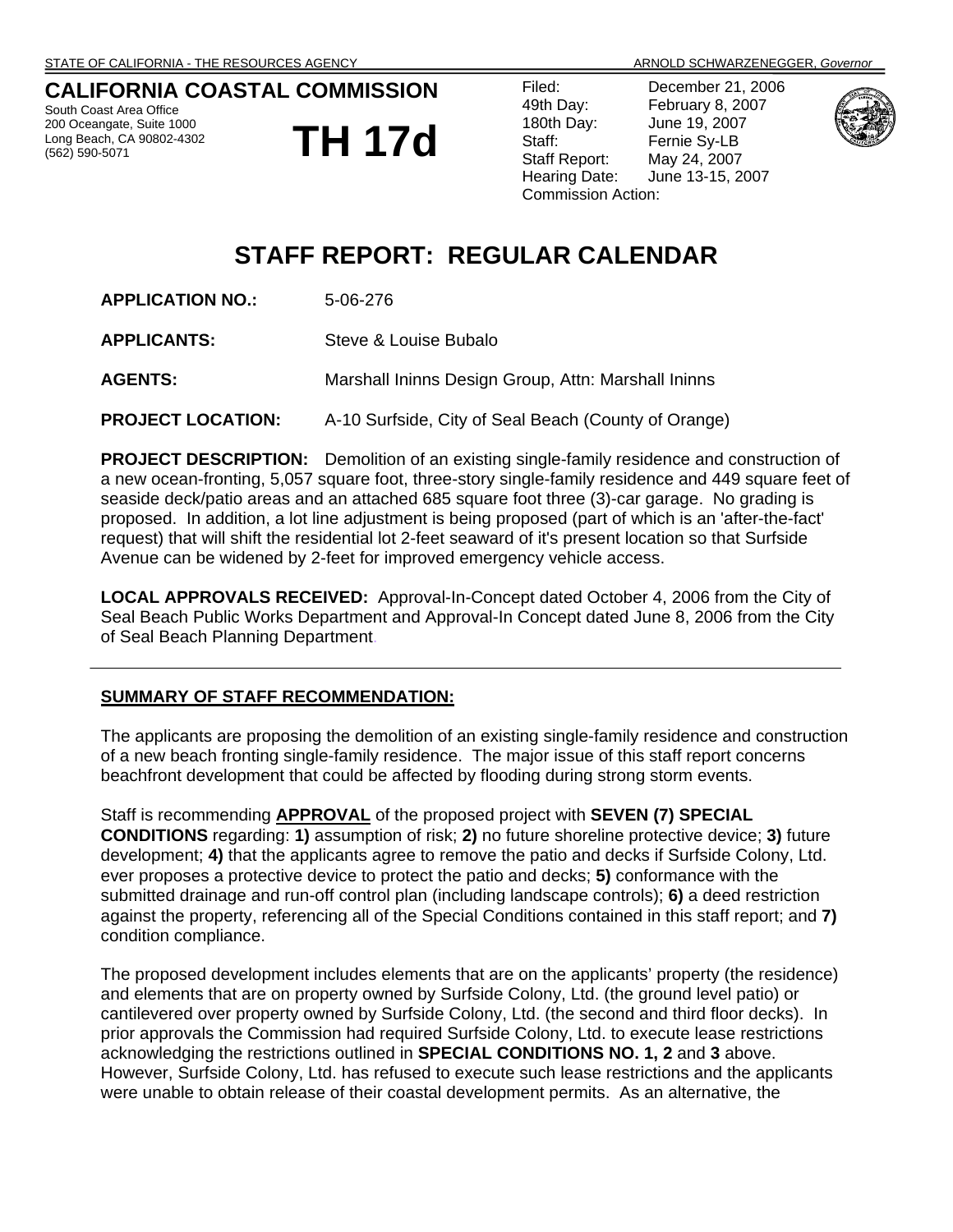## **CALIFORNIA COASTAL COMMISSION**

South Coast Area Office 200 Oceangate, Suite 1000 Long Beach, CA 90802-4302 (562) 590-5071

# **TH 17d**

Filed: December 21, 2006 Commission Action:



## 49th Day: February 8, 2007 180th Day: June 19, 2007 Staff: Fernie Sy-LB Staff Report: May 24, 2007 Hearing Date: June 13-15, 2007

# **STAFF REPORT: REGULAR CALENDAR**

**APPLICATION NO.:** 5-06-276

**APPLICANTS:** Steve & Louise Bubalo

## **AGENTS:** Marshall Ininns Design Group, Attn: Marshall Ininns

**PROJECT LOCATION:** A-10 Surfside, City of Seal Beach (County of Orange)

**PROJECT DESCRIPTION:** Demolition of an existing single-family residence and construction of a new ocean-fronting, 5,057 square foot, three-story single-family residence and 449 square feet of seaside deck/patio areas and an attached 685 square foot three (3)-car garage. No grading is proposed. In addition, a lot line adjustment is being proposed (part of which is an 'after-the-fact' request) that will shift the residential lot 2-feet seaward of it's present location so that Surfside Avenue can be widened by 2-feet for improved emergency vehicle access.

**LOCAL APPROVALS RECEIVED:** Approval-In-Concept dated October 4, 2006 from the City of Seal Beach Public Works Department and Approval-In Concept dated June 8, 2006 from the City of Seal Beach Planning Department.

#### **SUMMARY OF STAFF RECOMMENDATION:**

The applicants are proposing the demolition of an existing single-family residence and construction of a new beach fronting single-family residence. The major issue of this staff report concerns beachfront development that could be affected by flooding during strong storm events.

Staff is recommending **APPROVAL** of the proposed project with **SEVEN (7) SPECIAL CONDITIONS** regarding: **1)** assumption of risk; **2)** no future shoreline protective device; **3)** future development; **4)** that the applicants agree to remove the patio and decks if Surfside Colony, Ltd. ever proposes a protective device to protect the patio and decks; **5)** conformance with the submitted drainage and run-off control plan (including landscape controls); **6)** a deed restriction against the property, referencing all of the Special Conditions contained in this staff report; and **7)** condition compliance.

The proposed development includes elements that are on the applicants' property (the residence) and elements that are on property owned by Surfside Colony, Ltd. (the ground level patio) or cantilevered over property owned by Surfside Colony, Ltd. (the second and third floor decks). In prior approvals the Commission had required Surfside Colony, Ltd. to execute lease restrictions acknowledging the restrictions outlined in **SPECIAL CONDITIONS NO. 1, 2** and **3** above. However, Surfside Colony, Ltd. has refused to execute such lease restrictions and the applicants were unable to obtain release of their coastal development permits. As an alternative, the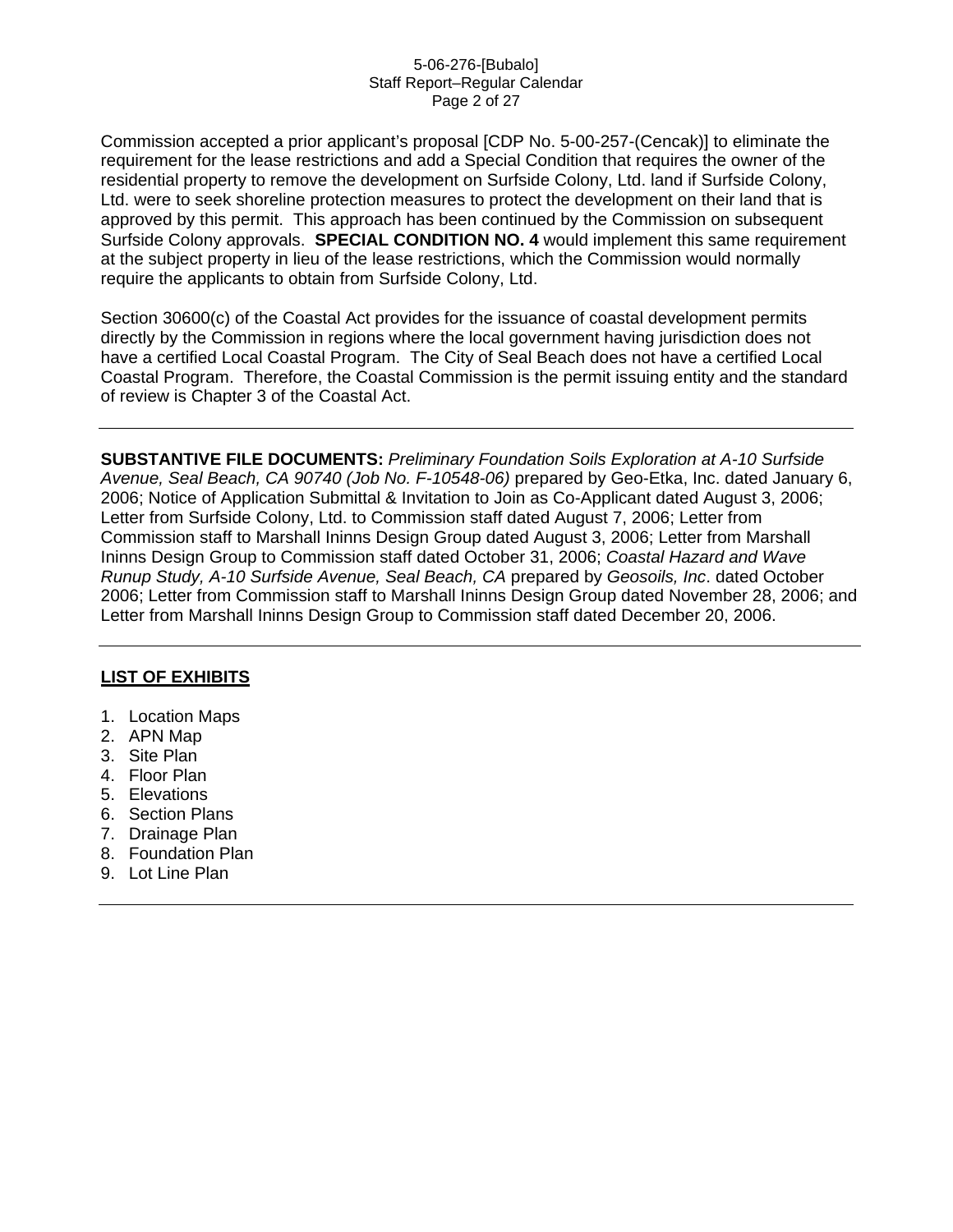#### 5-06-276-[Bubalo] Staff Report–Regular Calendar Page 2 of 27

Commission accepted a prior applicant's proposal [CDP No. 5-00-257-(Cencak)] to eliminate the requirement for the lease restrictions and add a Special Condition that requires the owner of the residential property to remove the development on Surfside Colony, Ltd. land if Surfside Colony, Ltd. were to seek shoreline protection measures to protect the development on their land that is approved by this permit. This approach has been continued by the Commission on subsequent Surfside Colony approvals. **SPECIAL CONDITION NO. 4** would implement this same requirement at the subject property in lieu of the lease restrictions, which the Commission would normally require the applicants to obtain from Surfside Colony, Ltd.

Section 30600(c) of the Coastal Act provides for the issuance of coastal development permits directly by the Commission in regions where the local government having jurisdiction does not have a certified Local Coastal Program. The City of Seal Beach does not have a certified Local Coastal Program. Therefore, the Coastal Commission is the permit issuing entity and the standard of review is Chapter 3 of the Coastal Act.

**SUBSTANTIVE FILE DOCUMENTS:** *Preliminary Foundation Soils Exploration at A-10 Surfside Avenue, Seal Beach, CA 90740 (Job No. F-10548-06)* prepared by Geo-Etka, Inc. dated January 6, 2006; Notice of Application Submittal & Invitation to Join as Co-Applicant dated August 3, 2006; Letter from Surfside Colony, Ltd. to Commission staff dated August 7, 2006; Letter from Commission staff to Marshall Ininns Design Group dated August 3, 2006; Letter from Marshall Ininns Design Group to Commission staff dated October 31, 2006; *Coastal Hazard and Wave Runup Study, A-10 Surfside Avenue, Seal Beach, CA* prepared by *Geosoils, Inc*. dated October 2006; Letter from Commission staff to Marshall Ininns Design Group dated November 28, 2006; and Letter from Marshall Ininns Design Group to Commission staff dated December 20, 2006.

## **LIST OF EXHIBITS**

- 1. Location Maps
- 2. APN Map
- 3. Site Plan
- 4. Floor Plan
- 5. Elevations
- 6. Section Plans
- 7. Drainage Plan
- 8. Foundation Plan
- 9. Lot Line Plan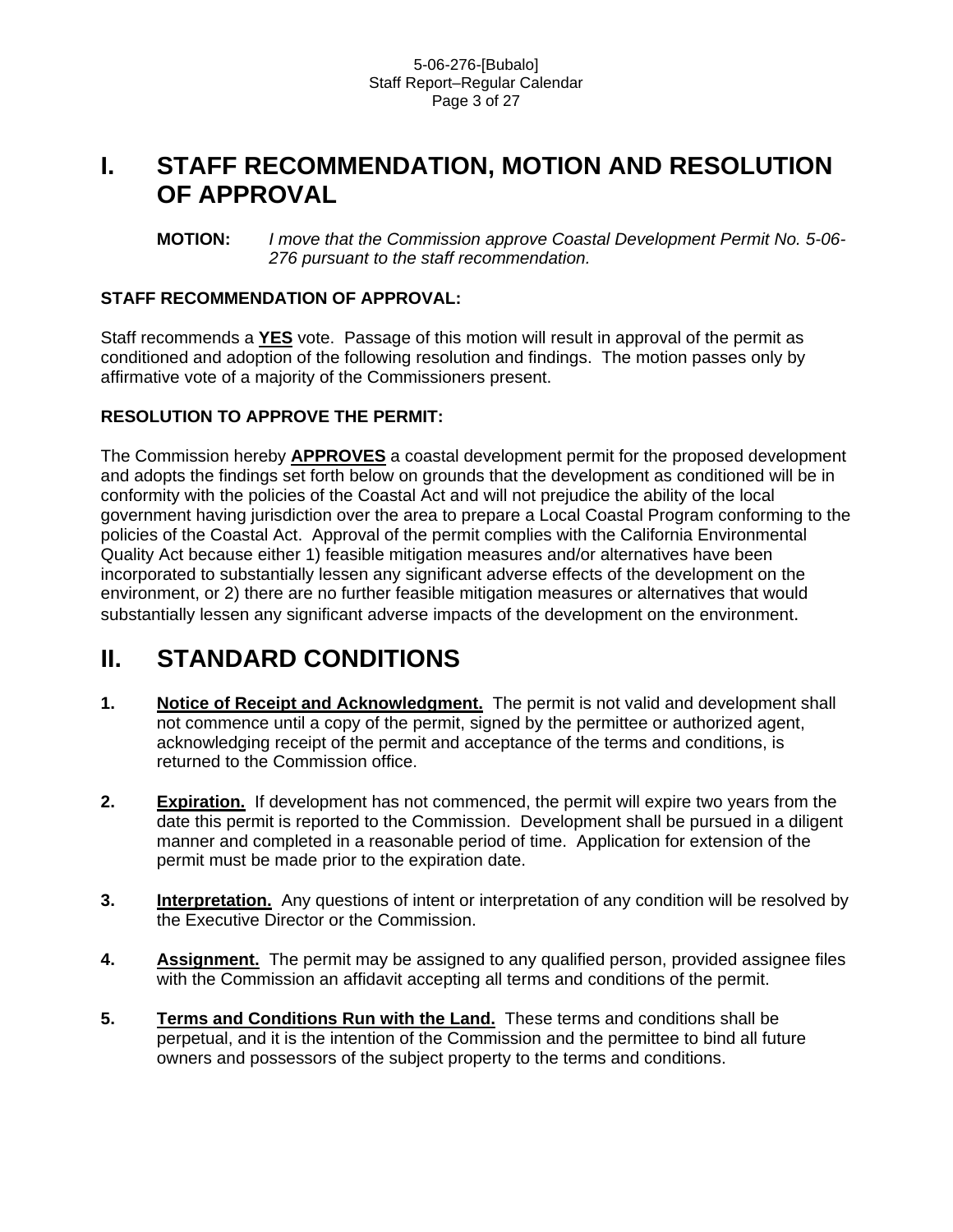## **I. STAFF RECOMMENDATION, MOTION AND RESOLUTION OF APPROVAL**

**MOTION:** *I move that the Commission approve Coastal Development Permit No. 5-06- 276 pursuant to the staff recommendation.* 

## **STAFF RECOMMENDATION OF APPROVAL:**

Staff recommends a **YES** vote. Passage of this motion will result in approval of the permit as conditioned and adoption of the following resolution and findings. The motion passes only by affirmative vote of a majority of the Commissioners present.

## **RESOLUTION TO APPROVE THE PERMIT:**

The Commission hereby **APPROVES** a coastal development permit for the proposed development and adopts the findings set forth below on grounds that the development as conditioned will be in conformity with the policies of the Coastal Act and will not prejudice the ability of the local government having jurisdiction over the area to prepare a Local Coastal Program conforming to the policies of the Coastal Act. Approval of the permit complies with the California Environmental Quality Act because either 1) feasible mitigation measures and/or alternatives have been incorporated to substantially lessen any significant adverse effects of the development on the environment, or 2) there are no further feasible mitigation measures or alternatives that would substantially lessen any significant adverse impacts of the development on the environment.

# **II. STANDARD CONDITIONS**

- **1. Notice of Receipt and Acknowledgment.** The permit is not valid and development shall not commence until a copy of the permit, signed by the permittee or authorized agent, acknowledging receipt of the permit and acceptance of the terms and conditions, is returned to the Commission office.
- **2. Expiration.** If development has not commenced, the permit will expire two years from the date this permit is reported to the Commission. Development shall be pursued in a diligent manner and completed in a reasonable period of time. Application for extension of the permit must be made prior to the expiration date.
- **3.** Interpretation. Any questions of intent or interpretation of any condition will be resolved by the Executive Director or the Commission.
- 4. Assignment. The permit may be assigned to any qualified person, provided assignee files with the Commission an affidavit accepting all terms and conditions of the permit.
- **5. Terms and Conditions Run with the Land.** These terms and conditions shall be perpetual, and it is the intention of the Commission and the permittee to bind all future owners and possessors of the subject property to the terms and conditions.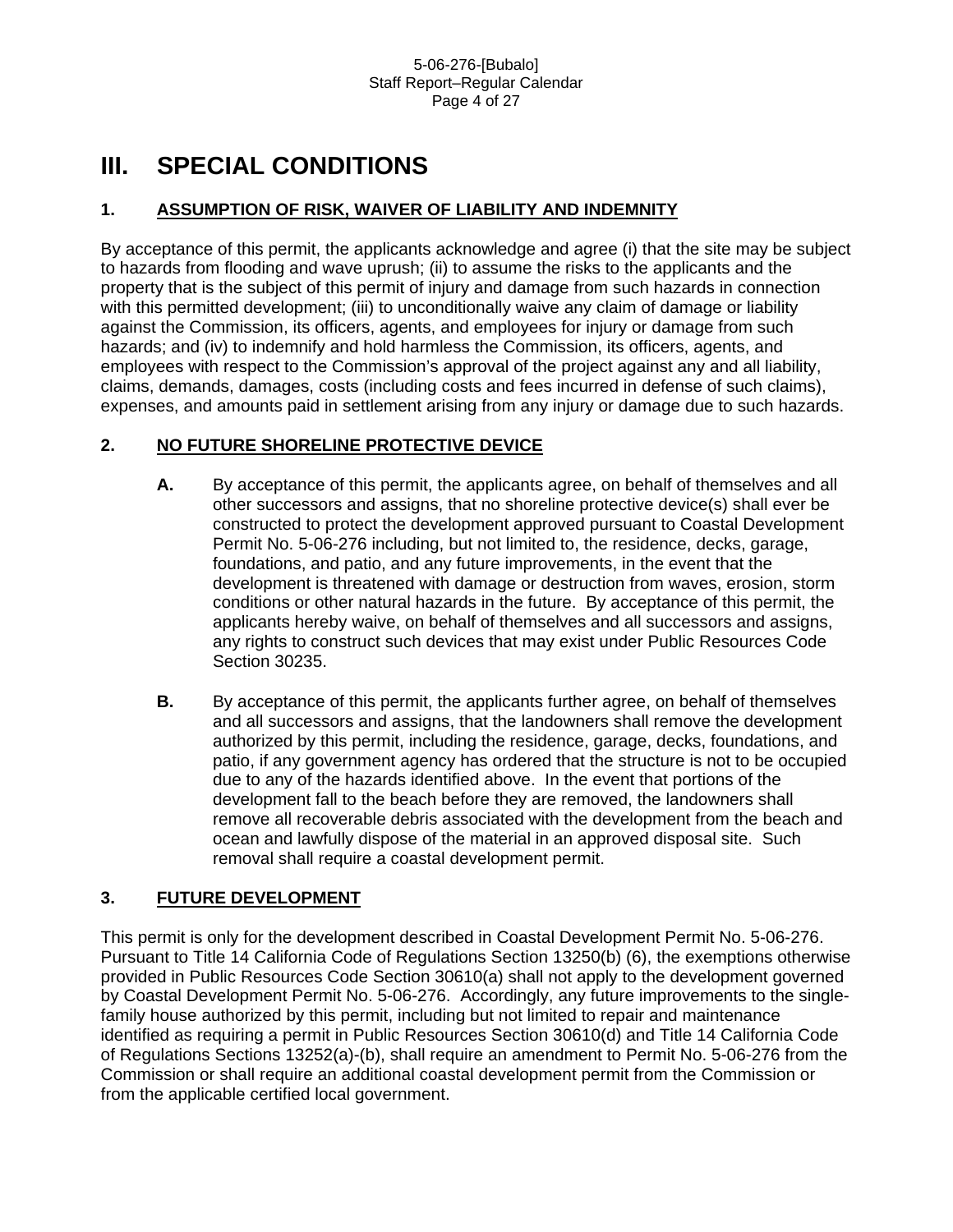# **III. SPECIAL CONDITIONS**

## **1. ASSUMPTION OF RISK, WAIVER OF LIABILITY AND INDEMNITY**

By acceptance of this permit, the applicants acknowledge and agree (i) that the site may be subject to hazards from flooding and wave uprush; (ii) to assume the risks to the applicants and the property that is the subject of this permit of injury and damage from such hazards in connection with this permitted development; (iii) to unconditionally waive any claim of damage or liability against the Commission, its officers, agents, and employees for injury or damage from such hazards; and (iv) to indemnify and hold harmless the Commission, its officers, agents, and employees with respect to the Commission's approval of the project against any and all liability, claims, demands, damages, costs (including costs and fees incurred in defense of such claims), expenses, and amounts paid in settlement arising from any injury or damage due to such hazards.

## **2. NO FUTURE SHORELINE PROTECTIVE DEVICE**

- **A.** By acceptance of this permit, the applicants agree, on behalf of themselves and all other successors and assigns, that no shoreline protective device(s) shall ever be constructed to protect the development approved pursuant to Coastal Development Permit No. 5-06-276 including, but not limited to, the residence, decks, garage, foundations, and patio, and any future improvements, in the event that the development is threatened with damage or destruction from waves, erosion, storm conditions or other natural hazards in the future. By acceptance of this permit, the applicants hereby waive, on behalf of themselves and all successors and assigns, any rights to construct such devices that may exist under Public Resources Code Section 30235.
- **B.** By acceptance of this permit, the applicants further agree, on behalf of themselves and all successors and assigns, that the landowners shall remove the development authorized by this permit, including the residence, garage, decks, foundations, and patio, if any government agency has ordered that the structure is not to be occupied due to any of the hazards identified above. In the event that portions of the development fall to the beach before they are removed, the landowners shall remove all recoverable debris associated with the development from the beach and ocean and lawfully dispose of the material in an approved disposal site. Such removal shall require a coastal development permit.

## **3. FUTURE DEVELOPMENT**

This permit is only for the development described in Coastal Development Permit No. 5-06-276. Pursuant to Title 14 California Code of Regulations Section 13250(b) (6), the exemptions otherwise provided in Public Resources Code Section 30610(a) shall not apply to the development governed by Coastal Development Permit No. 5-06-276. Accordingly, any future improvements to the singlefamily house authorized by this permit, including but not limited to repair and maintenance identified as requiring a permit in Public Resources Section 30610(d) and Title 14 California Code of Regulations Sections 13252(a)-(b), shall require an amendment to Permit No. 5-06-276 from the Commission or shall require an additional coastal development permit from the Commission or from the applicable certified local government.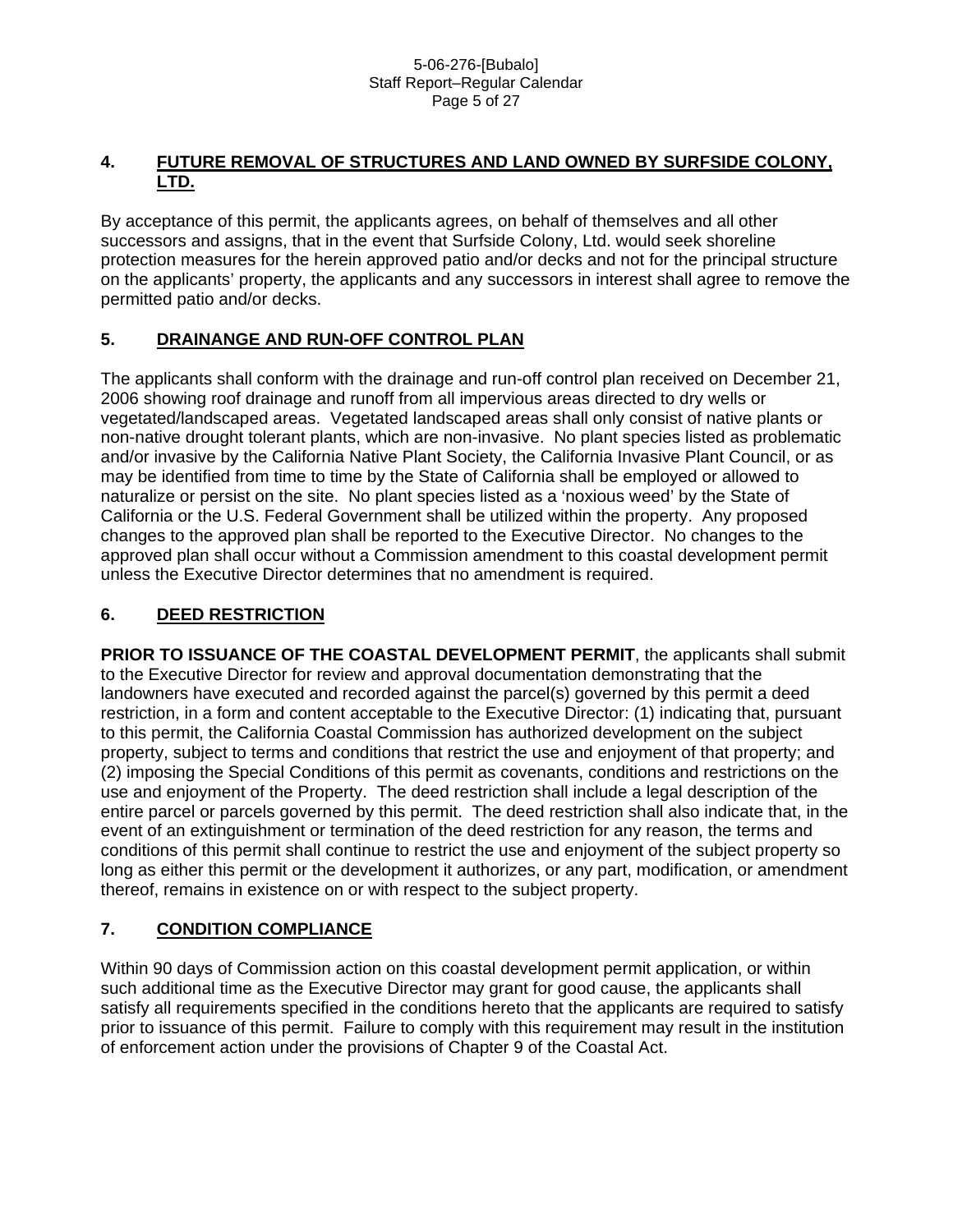## **4. FUTURE REMOVAL OF STRUCTURES AND LAND OWNED BY SURFSIDE COLONY, LTD.**

By acceptance of this permit, the applicants agrees, on behalf of themselves and all other successors and assigns, that in the event that Surfside Colony, Ltd. would seek shoreline protection measures for the herein approved patio and/or decks and not for the principal structure on the applicants' property, the applicants and any successors in interest shall agree to remove the permitted patio and/or decks.

## **5. DRAINANGE AND RUN-OFF CONTROL PLAN**

The applicants shall conform with the drainage and run-off control plan received on December 21, 2006 showing roof drainage and runoff from all impervious areas directed to dry wells or vegetated/landscaped areas. Vegetated landscaped areas shall only consist of native plants or non-native drought tolerant plants, which are non-invasive. No plant species listed as problematic and/or invasive by the California Native Plant Society, the California Invasive Plant Council, or as may be identified from time to time by the State of California shall be employed or allowed to naturalize or persist on the site. No plant species listed as a 'noxious weed' by the State of California or the U.S. Federal Government shall be utilized within the property. Any proposed changes to the approved plan shall be reported to the Executive Director. No changes to the approved plan shall occur without a Commission amendment to this coastal development permit unless the Executive Director determines that no amendment is required.

## **6. DEED RESTRICTION**

**PRIOR TO ISSUANCE OF THE COASTAL DEVELOPMENT PERMIT**, the applicants shall submit to the Executive Director for review and approval documentation demonstrating that the landowners have executed and recorded against the parcel(s) governed by this permit a deed restriction, in a form and content acceptable to the Executive Director: (1) indicating that, pursuant to this permit, the California Coastal Commission has authorized development on the subject property, subject to terms and conditions that restrict the use and enjoyment of that property; and (2) imposing the Special Conditions of this permit as covenants, conditions and restrictions on the use and enjoyment of the Property. The deed restriction shall include a legal description of the entire parcel or parcels governed by this permit. The deed restriction shall also indicate that, in the event of an extinguishment or termination of the deed restriction for any reason, the terms and conditions of this permit shall continue to restrict the use and enjoyment of the subject property so long as either this permit or the development it authorizes, or any part, modification, or amendment thereof, remains in existence on or with respect to the subject property.

## **7. CONDITION COMPLIANCE**

Within 90 days of Commission action on this coastal development permit application, or within such additional time as the Executive Director may grant for good cause, the applicants shall satisfy all requirements specified in the conditions hereto that the applicants are required to satisfy prior to issuance of this permit. Failure to comply with this requirement may result in the institution of enforcement action under the provisions of Chapter 9 of the Coastal Act.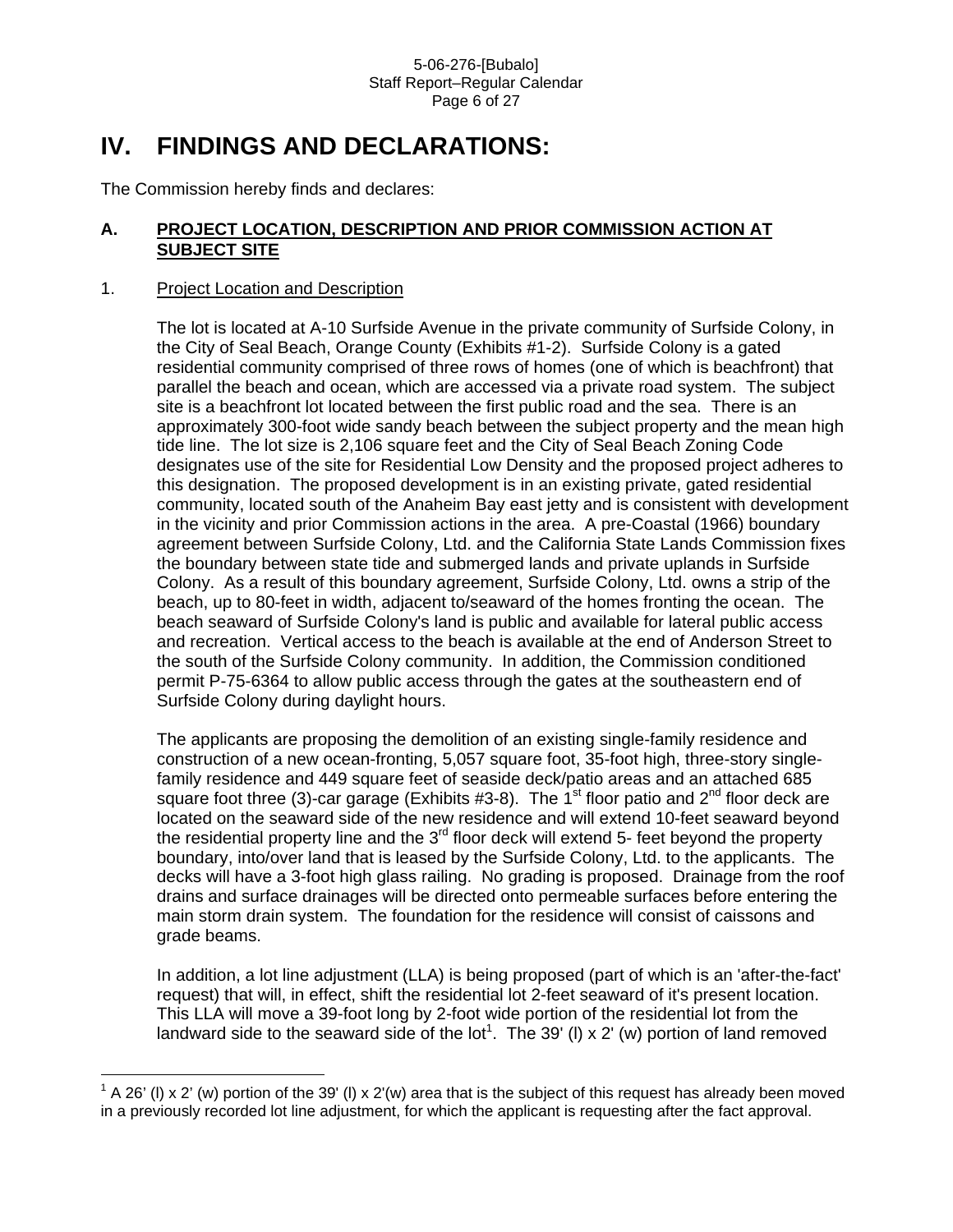# **IV. FINDINGS AND DECLARATIONS:**

The Commission hereby finds and declares:

## **A. PROJECT LOCATION, DESCRIPTION AND PRIOR COMMISSION ACTION AT SUBJECT SITE**

### 1. Project Location and Description

 $\overline{a}$ 

The lot is located at A-10 Surfside Avenue in the private community of Surfside Colony, in the City of Seal Beach, Orange County (Exhibits #1-2). Surfside Colony is a gated residential community comprised of three rows of homes (one of which is beachfront) that parallel the beach and ocean, which are accessed via a private road system. The subject site is a beachfront lot located between the first public road and the sea. There is an approximately 300-foot wide sandy beach between the subject property and the mean high tide line. The lot size is 2,106 square feet and the City of Seal Beach Zoning Code designates use of the site for Residential Low Density and the proposed project adheres to this designation. The proposed development is in an existing private, gated residential community, located south of the Anaheim Bay east jetty and is consistent with development in the vicinity and prior Commission actions in the area. A pre-Coastal (1966) boundary agreement between Surfside Colony, Ltd. and the California State Lands Commission fixes the boundary between state tide and submerged lands and private uplands in Surfside Colony. As a result of this boundary agreement, Surfside Colony, Ltd. owns a strip of the beach, up to 80-feet in width, adjacent to/seaward of the homes fronting the ocean. The beach seaward of Surfside Colony's land is public and available for lateral public access and recreation. Vertical access to the beach is available at the end of Anderson Street to the south of the Surfside Colony community. In addition, the Commission conditioned permit P-75-6364 to allow public access through the gates at the southeastern end of Surfside Colony during daylight hours.

The applicants are proposing the demolition of an existing single-family residence and construction of a new ocean-fronting, 5,057 square foot, 35-foot high, three-story singlefamily residence and 449 square feet of seaside deck/patio areas and an attached 685 square foot three (3)-car garage (Exhibits #3-8). The 1<sup>st</sup> floor patio and 2<sup>nd</sup> floor deck are located on the seaward side of the new residence and will extend 10-feet seaward beyond the residential property line and the  $3<sup>rd</sup>$  floor deck will extend 5- feet beyond the property boundary, into/over land that is leased by the Surfside Colony, Ltd. to the applicants. The decks will have a 3-foot high glass railing. No grading is proposed. Drainage from the roof drains and surface drainages will be directed onto permeable surfaces before entering the main storm drain system. The foundation for the residence will consist of caissons and grade beams.

In addition, a lot line adjustment (LLA) is being proposed (part of which is an 'after-the-fact' request) that will, in effect, shift the residential lot 2-feet seaward of it's present location. This LLA will move a 39-foot long by 2-foot wide portion of the residential lot from the landward side to the seaward side of the lot<sup>[1](#page-5-0)</sup>. The 39' (I) x 2' (w) portion of land removed

<span id="page-5-0"></span> $1$  A 26' (I) x 2' (w) portion of the 39' (I) x 2'(w) area that is the subject of this request has already been moved in a previously recorded lot line adjustment, for which the applicant is requesting after the fact approval.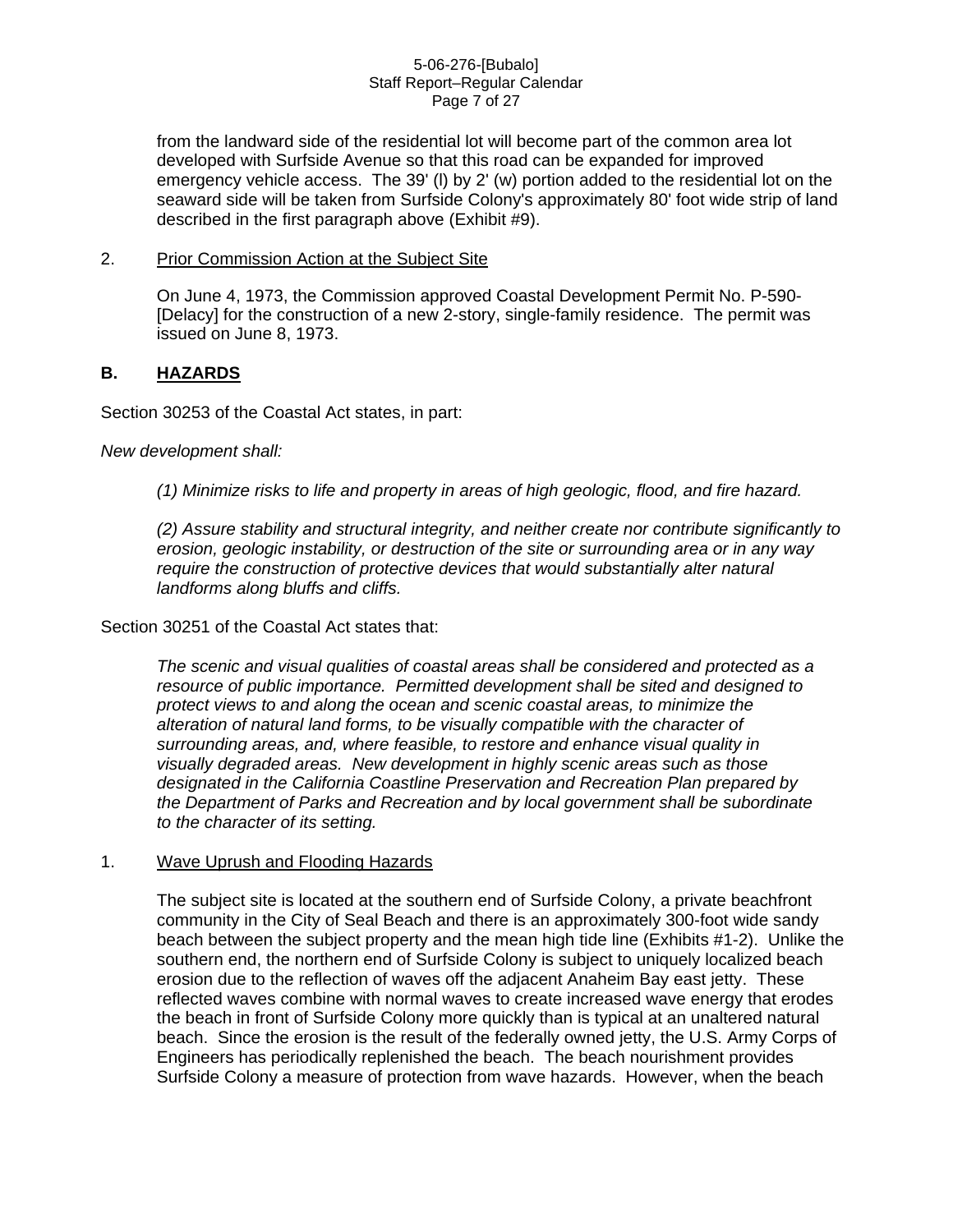#### 5-06-276-[Bubalo] Staff Report–Regular Calendar Page 7 of 27

from the landward side of the residential lot will become part of the common area lot developed with Surfside Avenue so that this road can be expanded for improved emergency vehicle access. The 39' (l) by 2' (w) portion added to the residential lot on the seaward side will be taken from Surfside Colony's approximately 80' foot wide strip of land described in the first paragraph above (Exhibit #9).

#### 2. Prior Commission Action at the Subject Site

On June 4, 1973, the Commission approved Coastal Development Permit No. P-590- [Delacy] for the construction of a new 2-story, single-family residence. The permit was issued on June 8, 1973.

## **B. HAZARDS**

Section 30253 of the Coastal Act states, in part:

*New development shall:* 

*(1) Minimize risks to life and property in areas of high geologic, flood, and fire hazard.* 

*(2) Assure stability and structural integrity, and neither create nor contribute significantly to erosion, geologic instability, or destruction of the site or surrounding area or in any way require the construction of protective devices that would substantially alter natural landforms along bluffs and cliffs.* 

## Section 30251 of the Coastal Act states that:

*The scenic and visual qualities of coastal areas shall be considered and protected as a resource of public importance. Permitted development shall be sited and designed to protect views to and along the ocean and scenic coastal areas, to minimize the alteration of natural land forms, to be visually compatible with the character of surrounding areas, and, where feasible, to restore and enhance visual quality in visually degraded areas. New development in highly scenic areas such as those designated in the California Coastline Preservation and Recreation Plan prepared by the Department of Parks and Recreation and by local government shall be subordinate to the character of its setting.* 

#### 1. Wave Uprush and Flooding Hazards

The subject site is located at the southern end of Surfside Colony, a private beachfront community in the City of Seal Beach and there is an approximately 300-foot wide sandy beach between the subject property and the mean high tide line (Exhibits #1-2). Unlike the southern end, the northern end of Surfside Colony is subject to uniquely localized beach erosion due to the reflection of waves off the adjacent Anaheim Bay east jetty. These reflected waves combine with normal waves to create increased wave energy that erodes the beach in front of Surfside Colony more quickly than is typical at an unaltered natural beach. Since the erosion is the result of the federally owned jetty, the U.S. Army Corps of Engineers has periodically replenished the beach. The beach nourishment provides Surfside Colony a measure of protection from wave hazards. However, when the beach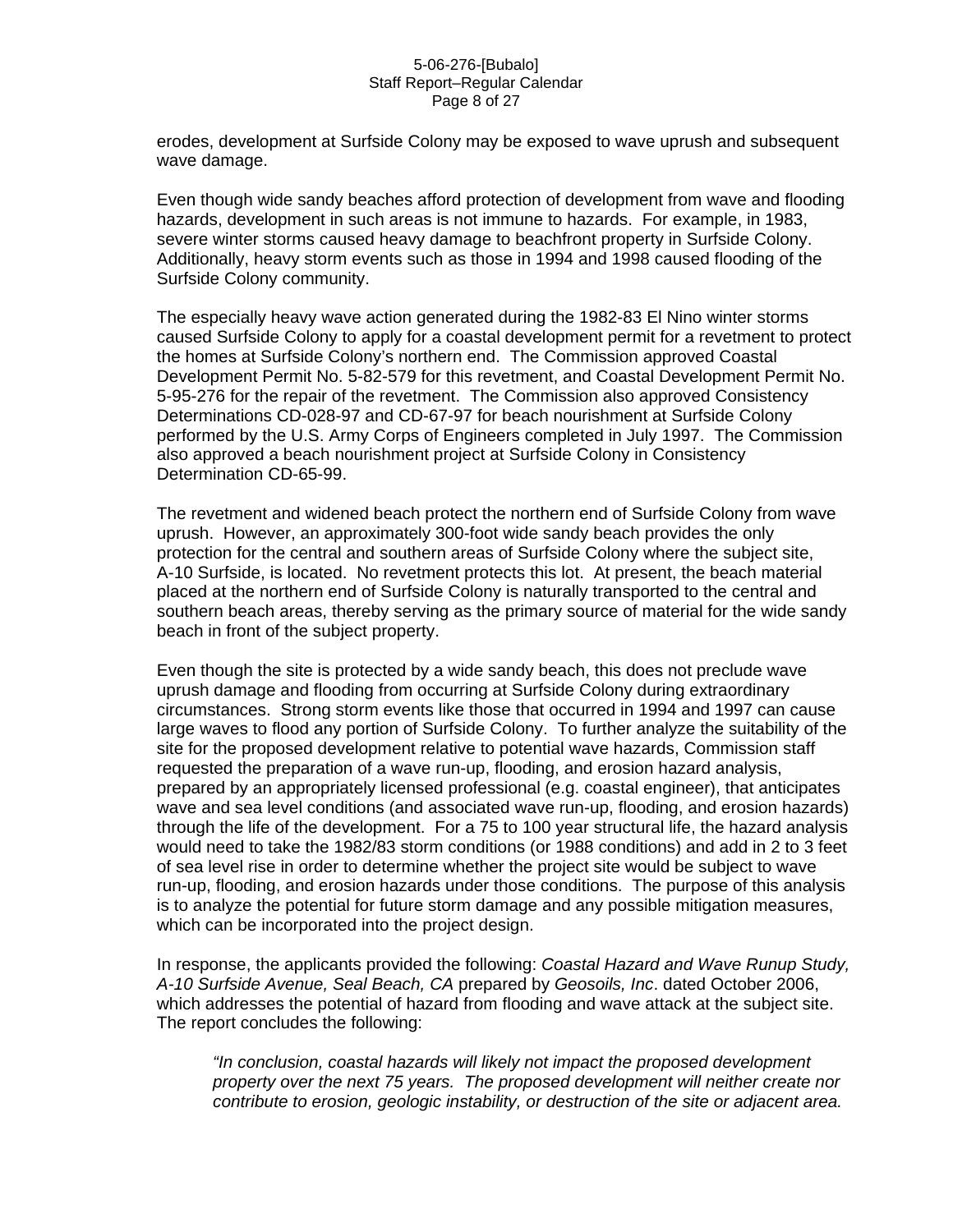#### 5-06-276-[Bubalo] Staff Report–Regular Calendar Page 8 of 27

erodes, development at Surfside Colony may be exposed to wave uprush and subsequent wave damage.

Even though wide sandy beaches afford protection of development from wave and flooding hazards, development in such areas is not immune to hazards. For example, in 1983, severe winter storms caused heavy damage to beachfront property in Surfside Colony. Additionally, heavy storm events such as those in 1994 and 1998 caused flooding of the Surfside Colony community.

The especially heavy wave action generated during the 1982-83 El Nino winter storms caused Surfside Colony to apply for a coastal development permit for a revetment to protect the homes at Surfside Colony's northern end. The Commission approved Coastal Development Permit No. 5-82-579 for this revetment, and Coastal Development Permit No. 5-95-276 for the repair of the revetment. The Commission also approved Consistency Determinations CD-028-97 and CD-67-97 for beach nourishment at Surfside Colony performed by the U.S. Army Corps of Engineers completed in July 1997. The Commission also approved a beach nourishment project at Surfside Colony in Consistency Determination CD-65-99.

The revetment and widened beach protect the northern end of Surfside Colony from wave uprush. However, an approximately 300-foot wide sandy beach provides the only protection for the central and southern areas of Surfside Colony where the subject site, A-10 Surfside, is located. No revetment protects this lot. At present, the beach material placed at the northern end of Surfside Colony is naturally transported to the central and southern beach areas, thereby serving as the primary source of material for the wide sandy beach in front of the subject property.

Even though the site is protected by a wide sandy beach, this does not preclude wave uprush damage and flooding from occurring at Surfside Colony during extraordinary circumstances. Strong storm events like those that occurred in 1994 and 1997 can cause large waves to flood any portion of Surfside Colony. To further analyze the suitability of the site for the proposed development relative to potential wave hazards, Commission staff requested the preparation of a wave run-up, flooding, and erosion hazard analysis, prepared by an appropriately licensed professional (e.g. coastal engineer), that anticipates wave and sea level conditions (and associated wave run-up, flooding, and erosion hazards) through the life of the development. For a 75 to 100 year structural life, the hazard analysis would need to take the 1982/83 storm conditions (or 1988 conditions) and add in 2 to 3 feet of sea level rise in order to determine whether the project site would be subject to wave run-up, flooding, and erosion hazards under those conditions. The purpose of this analysis is to analyze the potential for future storm damage and any possible mitigation measures, which can be incorporated into the project design.

In response, the applicants provided the following: *Coastal Hazard and Wave Runup Study, A-10 Surfside Avenue, Seal Beach, CA* prepared by *Geosoils, Inc*. dated October 2006, which addresses the potential of hazard from flooding and wave attack at the subject site. The report concludes the following:

*"In conclusion, coastal hazards will likely not impact the proposed development property over the next 75 years. The proposed development will neither create nor contribute to erosion, geologic instability, or destruction of the site or adjacent area.*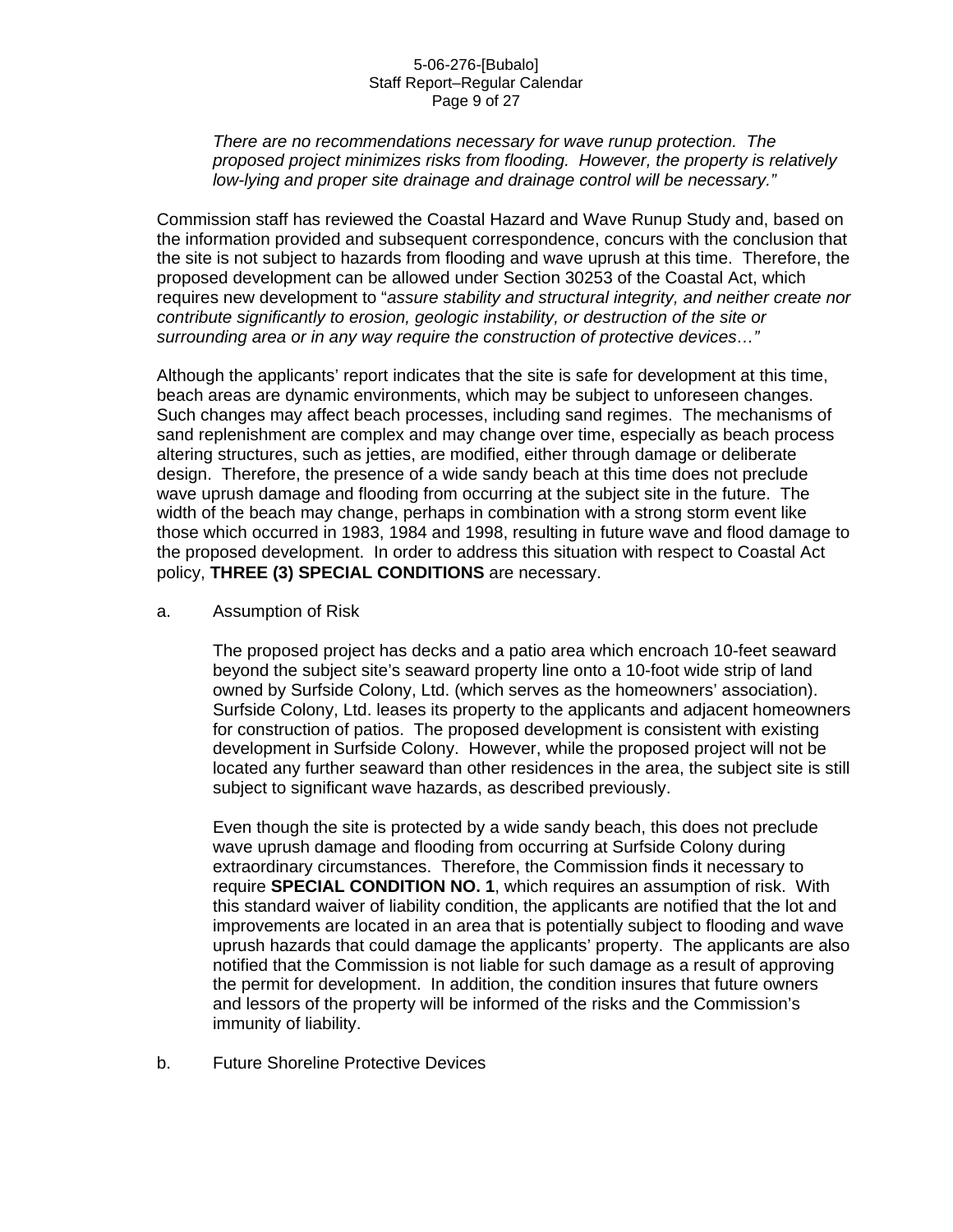#### 5-06-276-[Bubalo] Staff Report–Regular Calendar Page 9 of 27

#### *There are no recommendations necessary for wave runup protection. The proposed project minimizes risks from flooding. However, the property is relatively low-lying and proper site drainage and drainage control will be necessary."*

Commission staff has reviewed the Coastal Hazard and Wave Runup Study and, based on the information provided and subsequent correspondence, concurs with the conclusion that the site is not subject to hazards from flooding and wave uprush at this time. Therefore, the proposed development can be allowed under Section 30253 of the Coastal Act, which requires new development to "*assure stability and structural integrity, and neither create nor contribute significantly to erosion, geologic instability, or destruction of the site or surrounding area or in any way require the construction of protective devices…"* 

Although the applicants' report indicates that the site is safe for development at this time, beach areas are dynamic environments, which may be subject to unforeseen changes. Such changes may affect beach processes, including sand regimes. The mechanisms of sand replenishment are complex and may change over time, especially as beach process altering structures, such as jetties, are modified, either through damage or deliberate design. Therefore, the presence of a wide sandy beach at this time does not preclude wave uprush damage and flooding from occurring at the subject site in the future. The width of the beach may change, perhaps in combination with a strong storm event like those which occurred in 1983, 1984 and 1998, resulting in future wave and flood damage to the proposed development. In order to address this situation with respect to Coastal Act policy, **THREE (3) SPECIAL CONDITIONS** are necessary.

a. Assumption of Risk

The proposed project has decks and a patio area which encroach 10-feet seaward beyond the subject site's seaward property line onto a 10-foot wide strip of land owned by Surfside Colony, Ltd. (which serves as the homeowners' association). Surfside Colony, Ltd. leases its property to the applicants and adjacent homeowners for construction of patios. The proposed development is consistent with existing development in Surfside Colony. However, while the proposed project will not be located any further seaward than other residences in the area, the subject site is still subject to significant wave hazards, as described previously.

Even though the site is protected by a wide sandy beach, this does not preclude wave uprush damage and flooding from occurring at Surfside Colony during extraordinary circumstances. Therefore, the Commission finds it necessary to require **SPECIAL CONDITION NO. 1**, which requires an assumption of risk. With this standard waiver of liability condition, the applicants are notified that the lot and improvements are located in an area that is potentially subject to flooding and wave uprush hazards that could damage the applicants' property. The applicants are also notified that the Commission is not liable for such damage as a result of approving the permit for development. In addition, the condition insures that future owners and lessors of the property will be informed of the risks and the Commission's immunity of liability.

b. Future Shoreline Protective Devices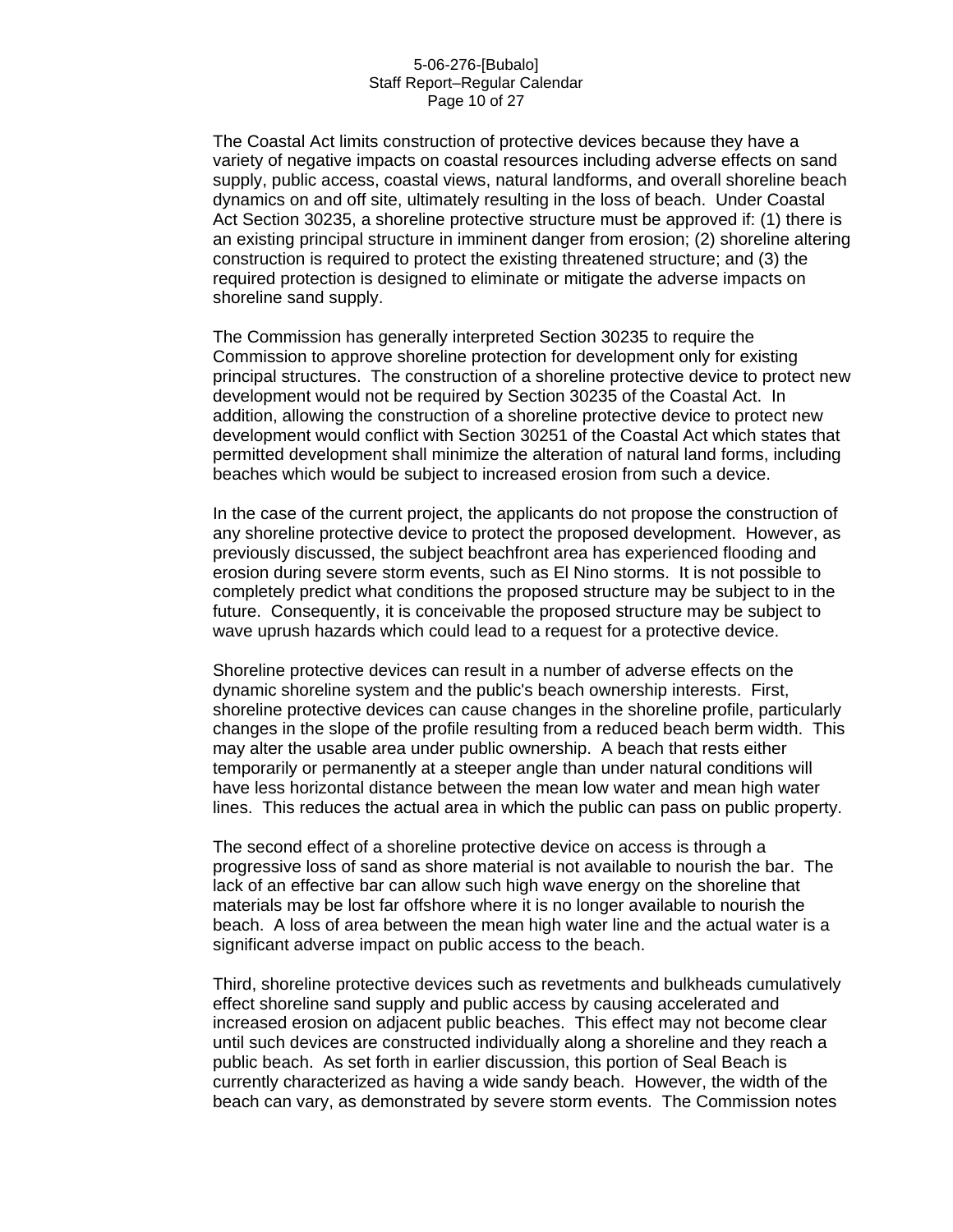#### 5-06-276-[Bubalo] Staff Report–Regular Calendar Page 10 of 27

The Coastal Act limits construction of protective devices because they have a variety of negative impacts on coastal resources including adverse effects on sand supply, public access, coastal views, natural landforms, and overall shoreline beach dynamics on and off site, ultimately resulting in the loss of beach. Under Coastal Act Section 30235, a shoreline protective structure must be approved if: (1) there is an existing principal structure in imminent danger from erosion; (2) shoreline altering construction is required to protect the existing threatened structure; and (3) the required protection is designed to eliminate or mitigate the adverse impacts on shoreline sand supply.

The Commission has generally interpreted Section 30235 to require the Commission to approve shoreline protection for development only for existing principal structures. The construction of a shoreline protective device to protect new development would not be required by Section 30235 of the Coastal Act. In addition, allowing the construction of a shoreline protective device to protect new development would conflict with Section 30251 of the Coastal Act which states that permitted development shall minimize the alteration of natural land forms, including beaches which would be subject to increased erosion from such a device.

In the case of the current project, the applicants do not propose the construction of any shoreline protective device to protect the proposed development. However, as previously discussed, the subject beachfront area has experienced flooding and erosion during severe storm events, such as El Nino storms. It is not possible to completely predict what conditions the proposed structure may be subject to in the future. Consequently, it is conceivable the proposed structure may be subject to wave uprush hazards which could lead to a request for a protective device.

Shoreline protective devices can result in a number of adverse effects on the dynamic shoreline system and the public's beach ownership interests. First, shoreline protective devices can cause changes in the shoreline profile, particularly changes in the slope of the profile resulting from a reduced beach berm width. This may alter the usable area under public ownership. A beach that rests either temporarily or permanently at a steeper angle than under natural conditions will have less horizontal distance between the mean low water and mean high water lines. This reduces the actual area in which the public can pass on public property.

The second effect of a shoreline protective device on access is through a progressive loss of sand as shore material is not available to nourish the bar. The lack of an effective bar can allow such high wave energy on the shoreline that materials may be lost far offshore where it is no longer available to nourish the beach. A loss of area between the mean high water line and the actual water is a significant adverse impact on public access to the beach.

Third, shoreline protective devices such as revetments and bulkheads cumulatively effect shoreline sand supply and public access by causing accelerated and increased erosion on adjacent public beaches. This effect may not become clear until such devices are constructed individually along a shoreline and they reach a public beach. As set forth in earlier discussion, this portion of Seal Beach is currently characterized as having a wide sandy beach. However, the width of the beach can vary, as demonstrated by severe storm events. The Commission notes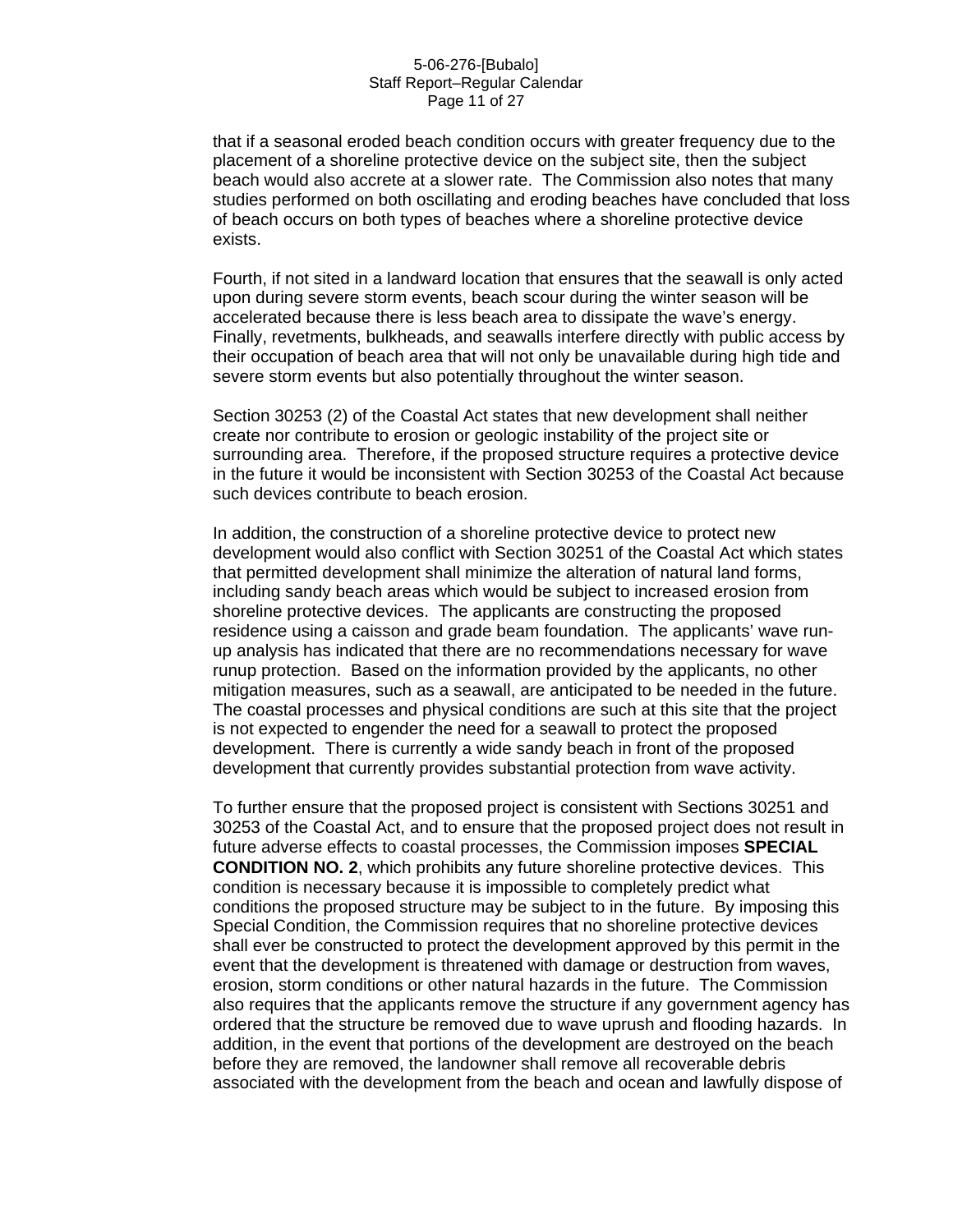#### 5-06-276-[Bubalo] Staff Report–Regular Calendar Page 11 of 27

that if a seasonal eroded beach condition occurs with greater frequency due to the placement of a shoreline protective device on the subject site, then the subject beach would also accrete at a slower rate. The Commission also notes that many studies performed on both oscillating and eroding beaches have concluded that loss of beach occurs on both types of beaches where a shoreline protective device exists.

Fourth, if not sited in a landward location that ensures that the seawall is only acted upon during severe storm events, beach scour during the winter season will be accelerated because there is less beach area to dissipate the wave's energy. Finally, revetments, bulkheads, and seawalls interfere directly with public access by their occupation of beach area that will not only be unavailable during high tide and severe storm events but also potentially throughout the winter season.

Section 30253 (2) of the Coastal Act states that new development shall neither create nor contribute to erosion or geologic instability of the project site or surrounding area. Therefore, if the proposed structure requires a protective device in the future it would be inconsistent with Section 30253 of the Coastal Act because such devices contribute to beach erosion.

In addition, the construction of a shoreline protective device to protect new development would also conflict with Section 30251 of the Coastal Act which states that permitted development shall minimize the alteration of natural land forms, including sandy beach areas which would be subject to increased erosion from shoreline protective devices. The applicants are constructing the proposed residence using a caisson and grade beam foundation. The applicants' wave runup analysis has indicated that there are no recommendations necessary for wave runup protection. Based on the information provided by the applicants, no other mitigation measures, such as a seawall, are anticipated to be needed in the future. The coastal processes and physical conditions are such at this site that the project is not expected to engender the need for a seawall to protect the proposed development. There is currently a wide sandy beach in front of the proposed development that currently provides substantial protection from wave activity.

To further ensure that the proposed project is consistent with Sections 30251 and 30253 of the Coastal Act, and to ensure that the proposed project does not result in future adverse effects to coastal processes, the Commission imposes **SPECIAL CONDITION NO. 2**, which prohibits any future shoreline protective devices. This condition is necessary because it is impossible to completely predict what conditions the proposed structure may be subject to in the future. By imposing this Special Condition, the Commission requires that no shoreline protective devices shall ever be constructed to protect the development approved by this permit in the event that the development is threatened with damage or destruction from waves, erosion, storm conditions or other natural hazards in the future. The Commission also requires that the applicants remove the structure if any government agency has ordered that the structure be removed due to wave uprush and flooding hazards. In addition, in the event that portions of the development are destroyed on the beach before they are removed, the landowner shall remove all recoverable debris associated with the development from the beach and ocean and lawfully dispose of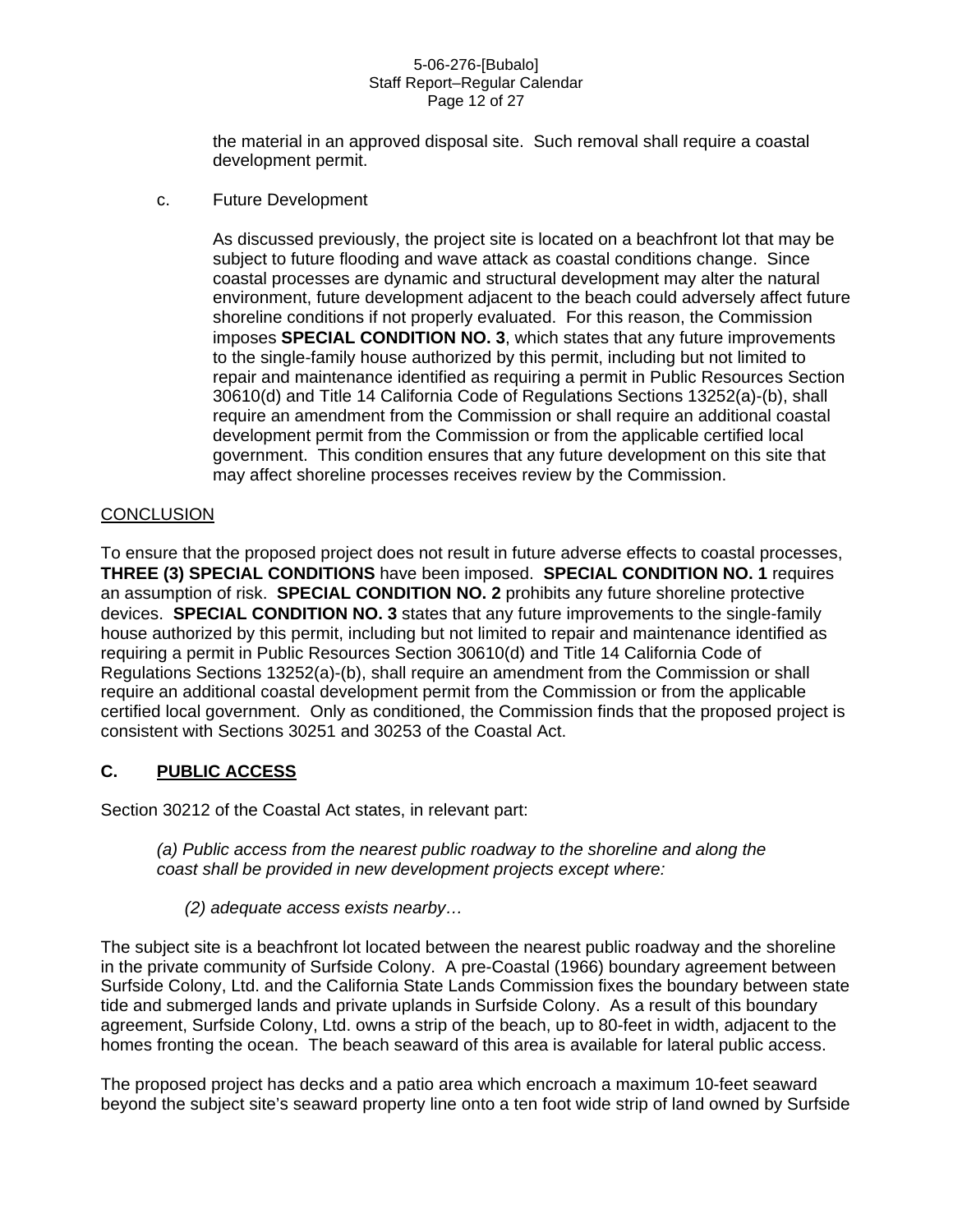#### 5-06-276-[Bubalo] Staff Report–Regular Calendar Page 12 of 27

the material in an approved disposal site. Such removal shall require a coastal development permit.

c. Future Development

As discussed previously, the project site is located on a beachfront lot that may be subject to future flooding and wave attack as coastal conditions change. Since coastal processes are dynamic and structural development may alter the natural environment, future development adjacent to the beach could adversely affect future shoreline conditions if not properly evaluated. For this reason, the Commission imposes **SPECIAL CONDITION NO. 3**, which states that any future improvements to the single-family house authorized by this permit, including but not limited to repair and maintenance identified as requiring a permit in Public Resources Section 30610(d) and Title 14 California Code of Regulations Sections 13252(a)-(b), shall require an amendment from the Commission or shall require an additional coastal development permit from the Commission or from the applicable certified local government. This condition ensures that any future development on this site that may affect shoreline processes receives review by the Commission.

## **CONCLUSION**

To ensure that the proposed project does not result in future adverse effects to coastal processes, **THREE (3) SPECIAL CONDITIONS** have been imposed. **SPECIAL CONDITION NO. 1** requires an assumption of risk. **SPECIAL CONDITION NO. 2** prohibits any future shoreline protective devices. **SPECIAL CONDITION NO. 3** states that any future improvements to the single-family house authorized by this permit, including but not limited to repair and maintenance identified as requiring a permit in Public Resources Section 30610(d) and Title 14 California Code of Regulations Sections 13252(a)-(b), shall require an amendment from the Commission or shall require an additional coastal development permit from the Commission or from the applicable certified local government. Only as conditioned, the Commission finds that the proposed project is consistent with Sections 30251 and 30253 of the Coastal Act.

## **C. PUBLIC ACCESS**

Section 30212 of the Coastal Act states, in relevant part:

*(a) Public access from the nearest public roadway to the shoreline and along the coast shall be provided in new development projects except where:* 

*(2) adequate access exists nearby…* 

The subject site is a beachfront lot located between the nearest public roadway and the shoreline in the private community of Surfside Colony. A pre-Coastal (1966) boundary agreement between Surfside Colony, Ltd. and the California State Lands Commission fixes the boundary between state tide and submerged lands and private uplands in Surfside Colony. As a result of this boundary agreement, Surfside Colony, Ltd. owns a strip of the beach, up to 80-feet in width, adjacent to the homes fronting the ocean. The beach seaward of this area is available for lateral public access.

The proposed project has decks and a patio area which encroach a maximum 10-feet seaward beyond the subject site's seaward property line onto a ten foot wide strip of land owned by Surfside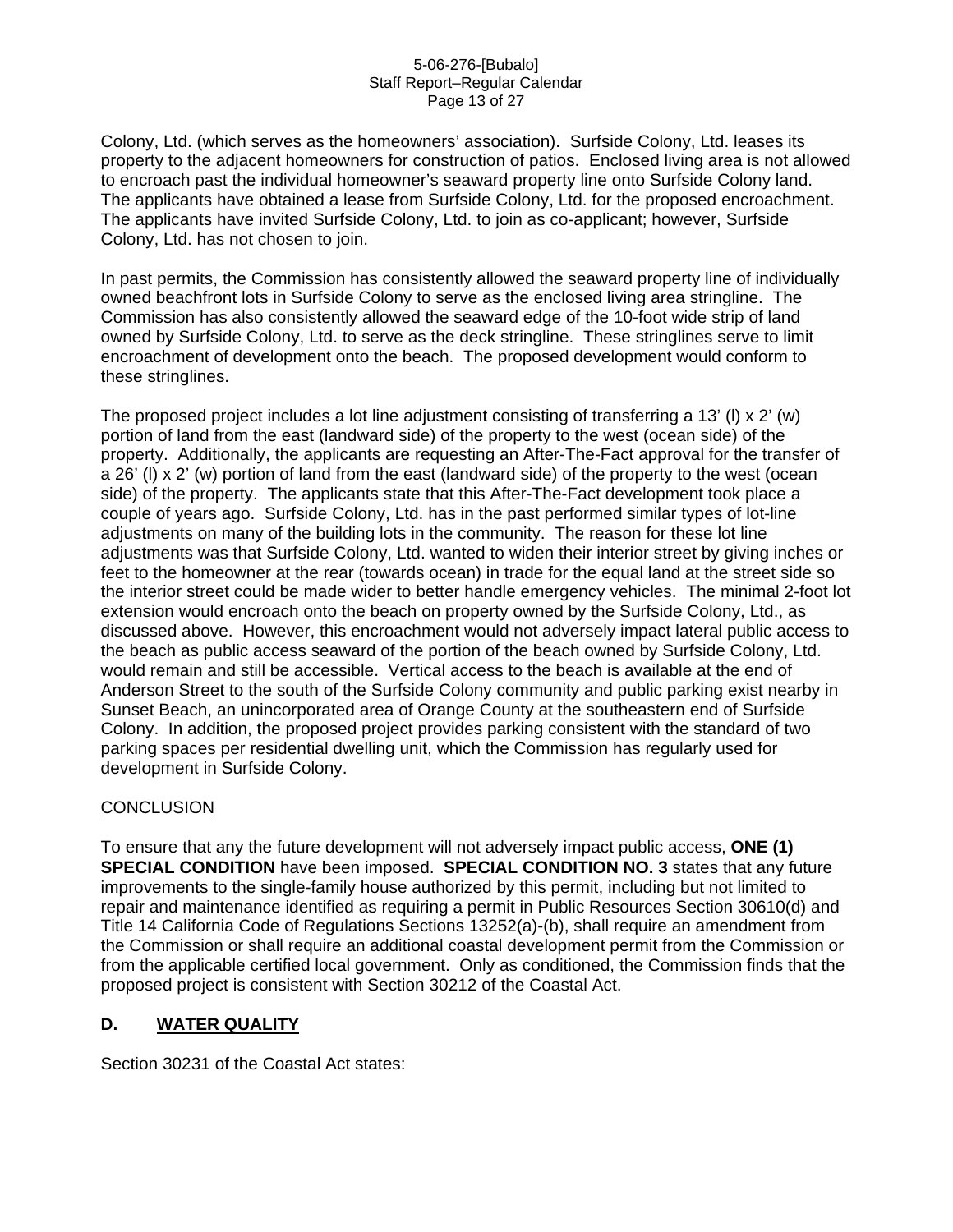#### 5-06-276-[Bubalo] Staff Report–Regular Calendar Page 13 of 27

Colony, Ltd. (which serves as the homeowners' association). Surfside Colony, Ltd. leases its property to the adjacent homeowners for construction of patios. Enclosed living area is not allowed to encroach past the individual homeowner's seaward property line onto Surfside Colony land. The applicants have obtained a lease from Surfside Colony, Ltd. for the proposed encroachment. The applicants have invited Surfside Colony, Ltd. to join as co-applicant; however, Surfside Colony, Ltd. has not chosen to join.

In past permits, the Commission has consistently allowed the seaward property line of individually owned beachfront lots in Surfside Colony to serve as the enclosed living area stringline. The Commission has also consistently allowed the seaward edge of the 10-foot wide strip of land owned by Surfside Colony, Ltd. to serve as the deck stringline. These stringlines serve to limit encroachment of development onto the beach. The proposed development would conform to these stringlines.

The proposed project includes a lot line adjustment consisting of transferring a 13' (I)  $\times$  2' (w) portion of land from the east (landward side) of the property to the west (ocean side) of the property. Additionally, the applicants are requesting an After-The-Fact approval for the transfer of a 26' (l) x 2' (w) portion of land from the east (landward side) of the property to the west (ocean side) of the property. The applicants state that this After-The-Fact development took place a couple of years ago. Surfside Colony, Ltd. has in the past performed similar types of lot-line adjustments on many of the building lots in the community. The reason for these lot line adjustments was that Surfside Colony, Ltd. wanted to widen their interior street by giving inches or feet to the homeowner at the rear (towards ocean) in trade for the equal land at the street side so the interior street could be made wider to better handle emergency vehicles. The minimal 2-foot lot extension would encroach onto the beach on property owned by the Surfside Colony, Ltd., as discussed above. However, this encroachment would not adversely impact lateral public access to the beach as public access seaward of the portion of the beach owned by Surfside Colony, Ltd. would remain and still be accessible. Vertical access to the beach is available at the end of Anderson Street to the south of the Surfside Colony community and public parking exist nearby in Sunset Beach, an unincorporated area of Orange County at the southeastern end of Surfside Colony. In addition, the proposed project provides parking consistent with the standard of two parking spaces per residential dwelling unit, which the Commission has regularly used for development in Surfside Colony.

## **CONCLUSION**

To ensure that any the future development will not adversely impact public access, **ONE (1) SPECIAL CONDITION** have been imposed. **SPECIAL CONDITION NO. 3** states that any future improvements to the single-family house authorized by this permit, including but not limited to repair and maintenance identified as requiring a permit in Public Resources Section 30610(d) and Title 14 California Code of Regulations Sections 13252(a)-(b), shall require an amendment from the Commission or shall require an additional coastal development permit from the Commission or from the applicable certified local government. Only as conditioned, the Commission finds that the proposed project is consistent with Section 30212 of the Coastal Act.

## **D. WATER QUALITY**

Section 30231 of the Coastal Act states: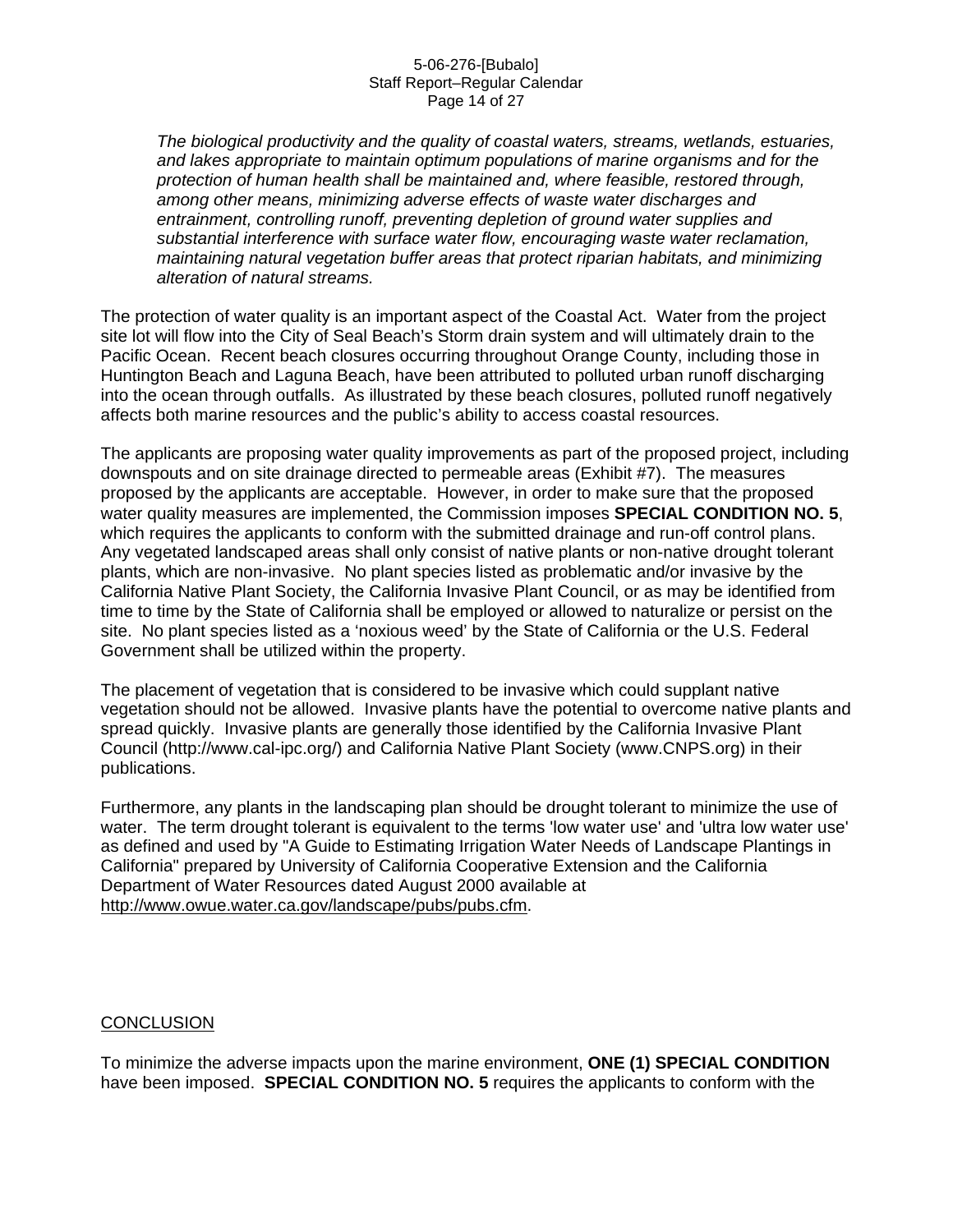#### 5-06-276-[Bubalo] Staff Report–Regular Calendar Page 14 of 27

*The biological productivity and the quality of coastal waters, streams, wetlands, estuaries, and lakes appropriate to maintain optimum populations of marine organisms and for the protection of human health shall be maintained and, where feasible, restored through, among other means, minimizing adverse effects of waste water discharges and entrainment, controlling runoff, preventing depletion of ground water supplies and substantial interference with surface water flow, encouraging waste water reclamation, maintaining natural vegetation buffer areas that protect riparian habitats, and minimizing alteration of natural streams.* 

The protection of water quality is an important aspect of the Coastal Act. Water from the project site lot will flow into the City of Seal Beach's Storm drain system and will ultimately drain to the Pacific Ocean. Recent beach closures occurring throughout Orange County, including those in Huntington Beach and Laguna Beach, have been attributed to polluted urban runoff discharging into the ocean through outfalls. As illustrated by these beach closures, polluted runoff negatively affects both marine resources and the public's ability to access coastal resources.

The applicants are proposing water quality improvements as part of the proposed project, including downspouts and on site drainage directed to permeable areas (Exhibit #7). The measures proposed by the applicants are acceptable. However, in order to make sure that the proposed water quality measures are implemented, the Commission imposes **SPECIAL CONDITION NO. 5**, which requires the applicants to conform with the submitted drainage and run-off control plans. Any vegetated landscaped areas shall only consist of native plants or non-native drought tolerant plants, which are non-invasive. No plant species listed as problematic and/or invasive by the California Native Plant Society, the California Invasive Plant Council, or as may be identified from time to time by the State of California shall be employed or allowed to naturalize or persist on the site. No plant species listed as a 'noxious weed' by the State of California or the U.S. Federal Government shall be utilized within the property.

The placement of vegetation that is considered to be invasive which could supplant native vegetation should not be allowed. Invasive plants have the potential to overcome native plants and spread quickly. Invasive plants are generally those identified by the California Invasive Plant Council (http://www.cal-ipc.org/) and California Native Plant Society (www.CNPS.org) in their publications.

Furthermore, any plants in the landscaping plan should be drought tolerant to minimize the use of water. The term drought tolerant is equivalent to the terms 'low water use' and 'ultra low water use' as defined and used by "A Guide to Estimating Irrigation Water Needs of Landscape Plantings in California" prepared by University of California Cooperative Extension and the California Department of Water Resources dated August 2000 available at [http://www.owue.water.ca.gov/landscape/pubs/pubs.cfm.](http://www.owue.water.ca.gov/landscape/pubs/pubs.cfm)

#### **CONCLUSION**

To minimize the adverse impacts upon the marine environment, **ONE (1) SPECIAL CONDITION** have been imposed. **SPECIAL CONDITION NO. 5** requires the applicants to conform with the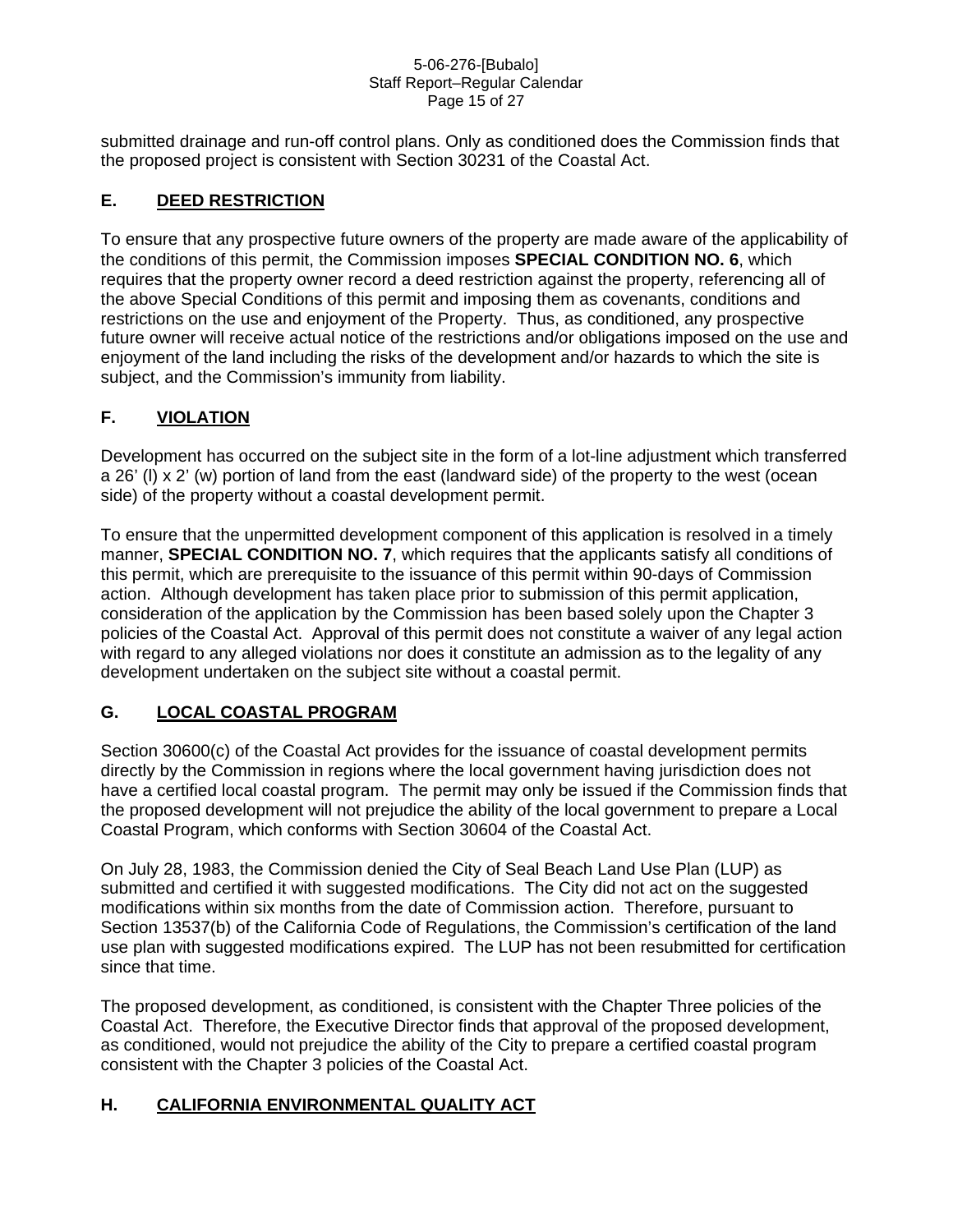#### 5-06-276-[Bubalo] Staff Report–Regular Calendar Page 15 of 27

submitted drainage and run-off control plans. Only as conditioned does the Commission finds that the proposed project is consistent with Section 30231 of the Coastal Act.

## **E. DEED RESTRICTION**

To ensure that any prospective future owners of the property are made aware of the applicability of the conditions of this permit, the Commission imposes **SPECIAL CONDITION NO. 6**, which requires that the property owner record a deed restriction against the property, referencing all of the above Special Conditions of this permit and imposing them as covenants, conditions and restrictions on the use and enjoyment of the Property. Thus, as conditioned, any prospective future owner will receive actual notice of the restrictions and/or obligations imposed on the use and enjoyment of the land including the risks of the development and/or hazards to which the site is subject, and the Commission's immunity from liability.

## **F. VIOLATION**

Development has occurred on the subject site in the form of a lot-line adjustment which transferred a 26' (l) x 2' (w) portion of land from the east (landward side) of the property to the west (ocean side) of the property without a coastal development permit.

To ensure that the unpermitted development component of this application is resolved in a timely manner, **SPECIAL CONDITION NO. 7**, which requires that the applicants satisfy all conditions of this permit, which are prerequisite to the issuance of this permit within 90-days of Commission action. Although development has taken place prior to submission of this permit application, consideration of the application by the Commission has been based solely upon the Chapter 3 policies of the Coastal Act. Approval of this permit does not constitute a waiver of any legal action with regard to any alleged violations nor does it constitute an admission as to the legality of any development undertaken on the subject site without a coastal permit.

## **G. LOCAL COASTAL PROGRAM**

Section 30600(c) of the Coastal Act provides for the issuance of coastal development permits directly by the Commission in regions where the local government having jurisdiction does not have a certified local coastal program. The permit may only be issued if the Commission finds that the proposed development will not prejudice the ability of the local government to prepare a Local Coastal Program, which conforms with Section 30604 of the Coastal Act.

On July 28, 1983, the Commission denied the City of Seal Beach Land Use Plan (LUP) as submitted and certified it with suggested modifications. The City did not act on the suggested modifications within six months from the date of Commission action. Therefore, pursuant to Section 13537(b) of the California Code of Regulations, the Commission's certification of the land use plan with suggested modifications expired. The LUP has not been resubmitted for certification since that time.

The proposed development, as conditioned, is consistent with the Chapter Three policies of the Coastal Act. Therefore, the Executive Director finds that approval of the proposed development, as conditioned, would not prejudice the ability of the City to prepare a certified coastal program consistent with the Chapter 3 policies of the Coastal Act.

## **H. CALIFORNIA ENVIRONMENTAL QUALITY ACT**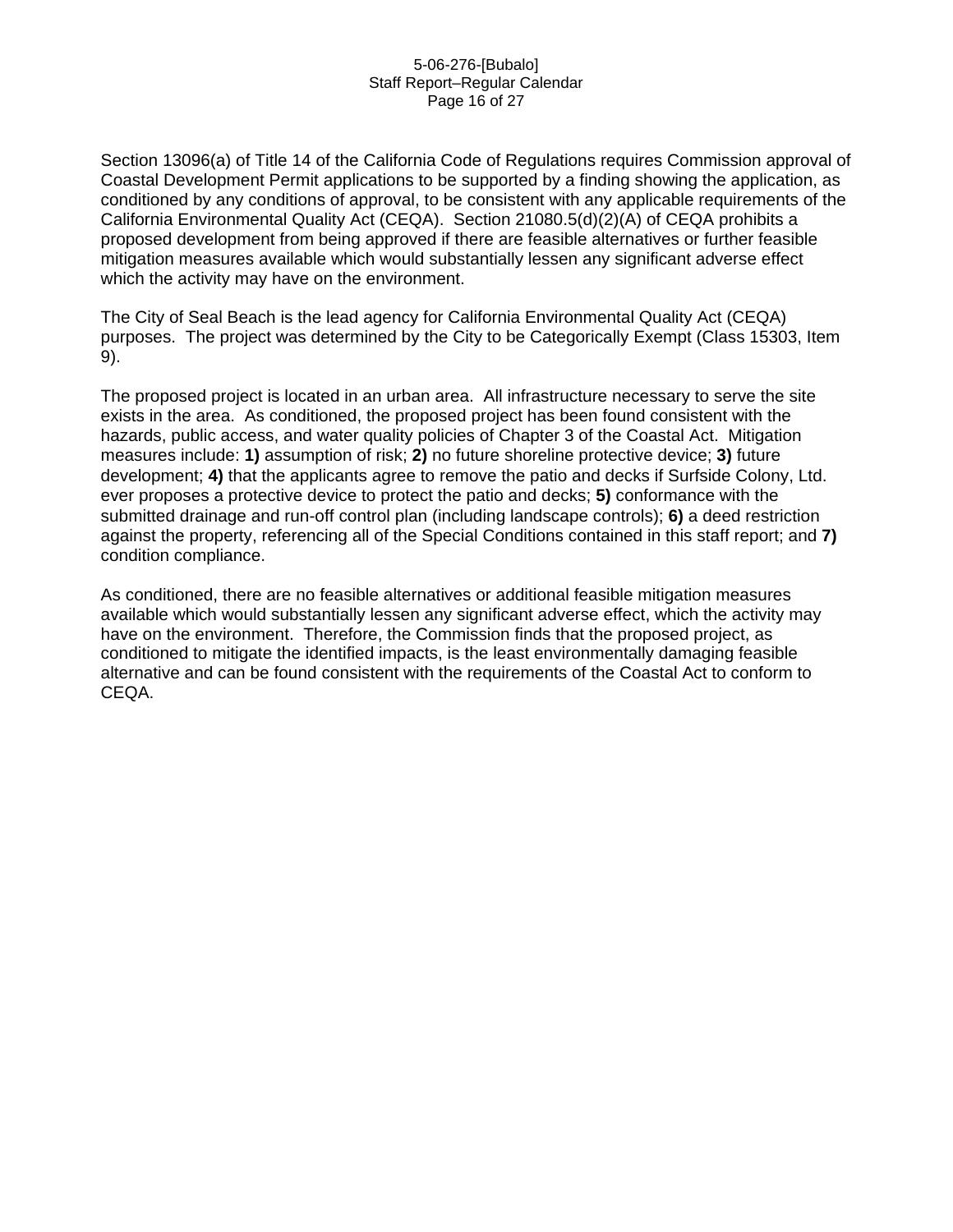#### 5-06-276-[Bubalo] Staff Report–Regular Calendar Page 16 of 27

Section 13096(a) of Title 14 of the California Code of Regulations requires Commission approval of Coastal Development Permit applications to be supported by a finding showing the application, as conditioned by any conditions of approval, to be consistent with any applicable requirements of the California Environmental Quality Act (CEQA). Section 21080.5(d)(2)(A) of CEQA prohibits a proposed development from being approved if there are feasible alternatives or further feasible mitigation measures available which would substantially lessen any significant adverse effect which the activity may have on the environment.

The City of Seal Beach is the lead agency for California Environmental Quality Act (CEQA) purposes. The project was determined by the City to be Categorically Exempt (Class 15303, Item 9).

The proposed project is located in an urban area. All infrastructure necessary to serve the site exists in the area. As conditioned, the proposed project has been found consistent with the hazards, public access, and water quality policies of Chapter 3 of the Coastal Act. Mitigation measures include: **1)** assumption of risk; **2)** no future shoreline protective device; **3)** future development; **4)** that the applicants agree to remove the patio and decks if Surfside Colony, Ltd. ever proposes a protective device to protect the patio and decks; **5)** conformance with the submitted drainage and run-off control plan (including landscape controls); **6)** a deed restriction against the property, referencing all of the Special Conditions contained in this staff report; and **7)** condition compliance.

As conditioned, there are no feasible alternatives or additional feasible mitigation measures available which would substantially lessen any significant adverse effect, which the activity may have on the environment. Therefore, the Commission finds that the proposed project, as conditioned to mitigate the identified impacts, is the least environmentally damaging feasible alternative and can be found consistent with the requirements of the Coastal Act to conform to CEQA.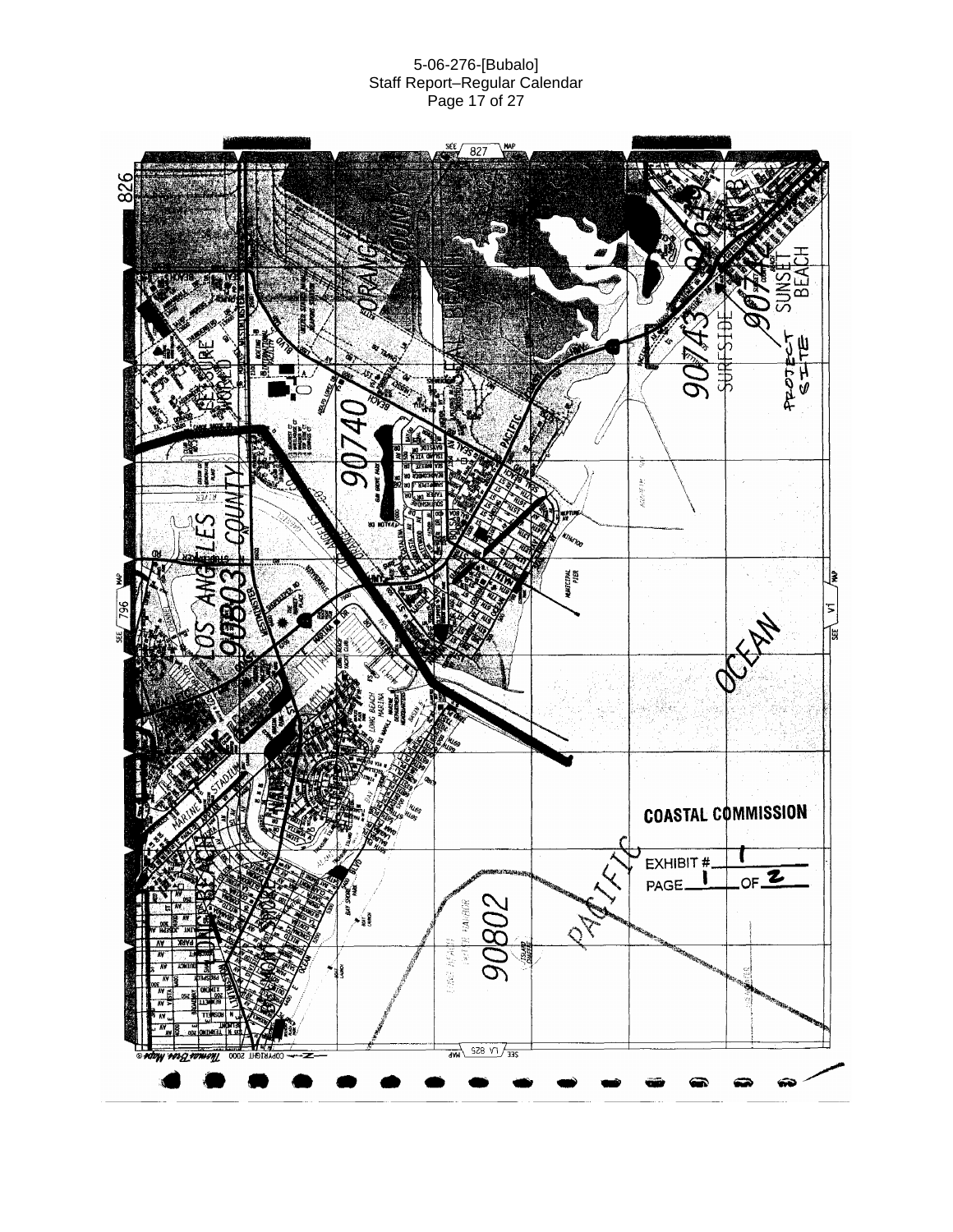#### 5-06-276-[Bubalo] Staff Report–Regular Calendar Page 17 of 27

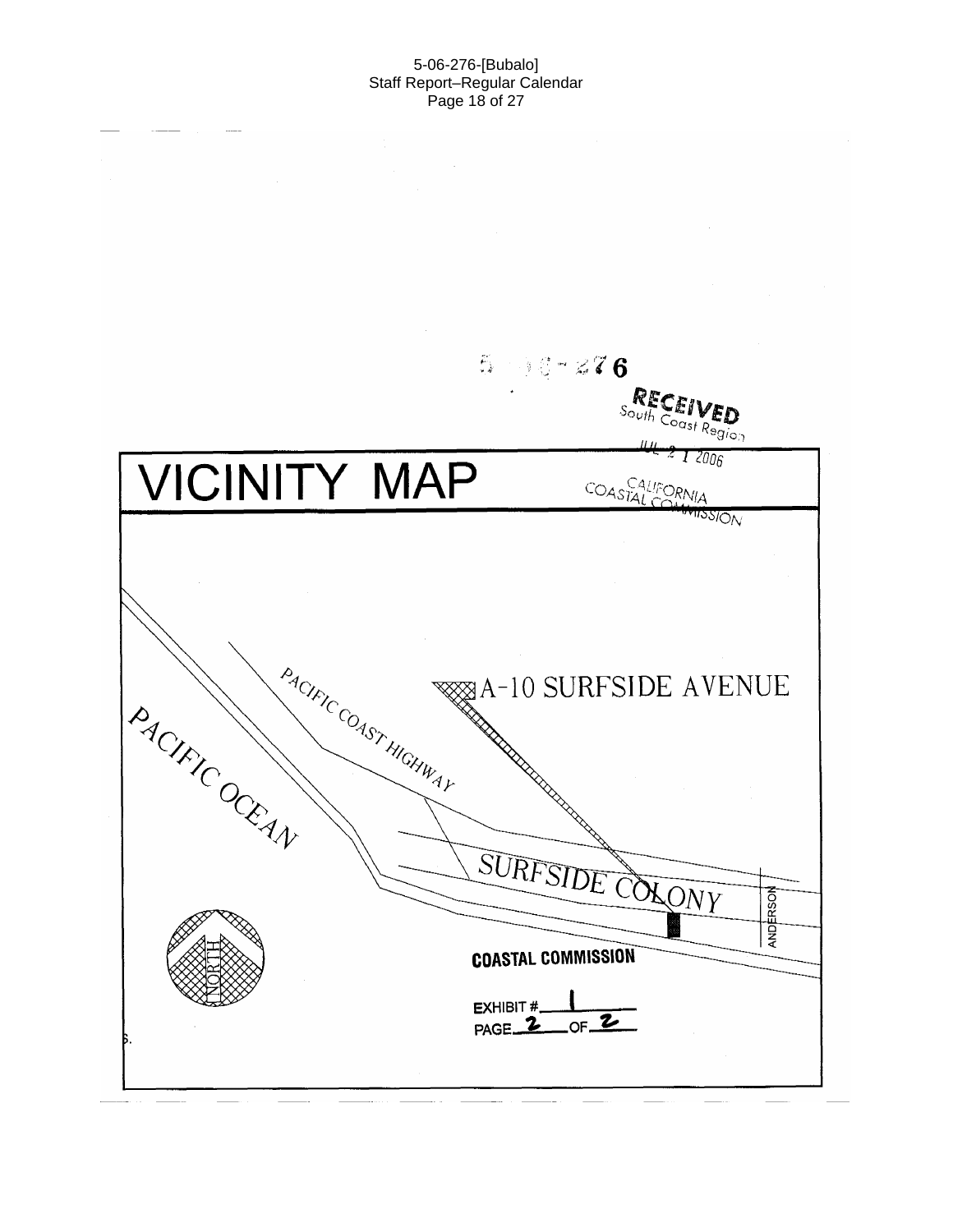#### 5-06-276-[Bubalo] Staff Report–Regular Calendar Page 18 of 27

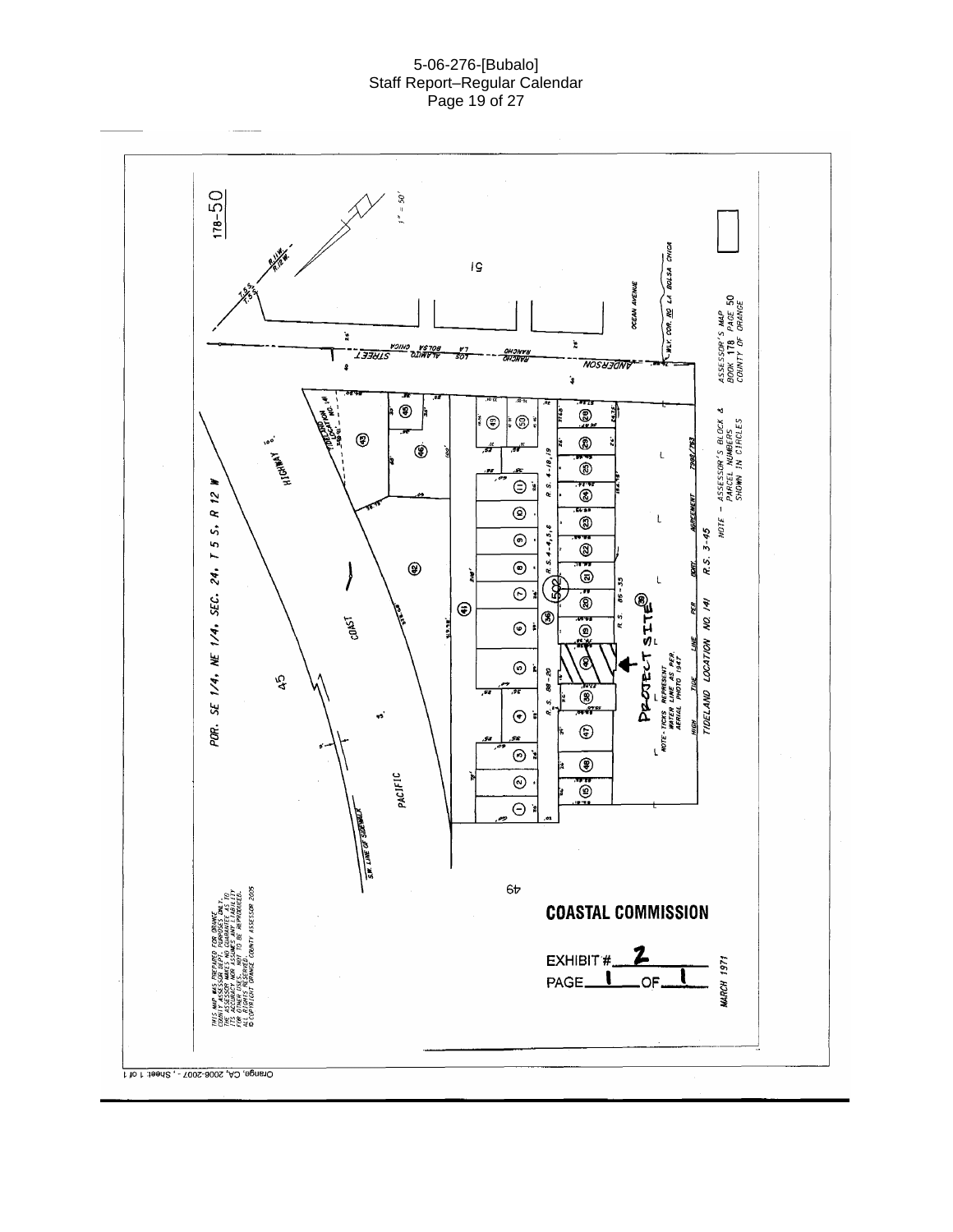#### 5-06-276-[Bubalo] Staff Report–Regular Calendar Page 19 of 27

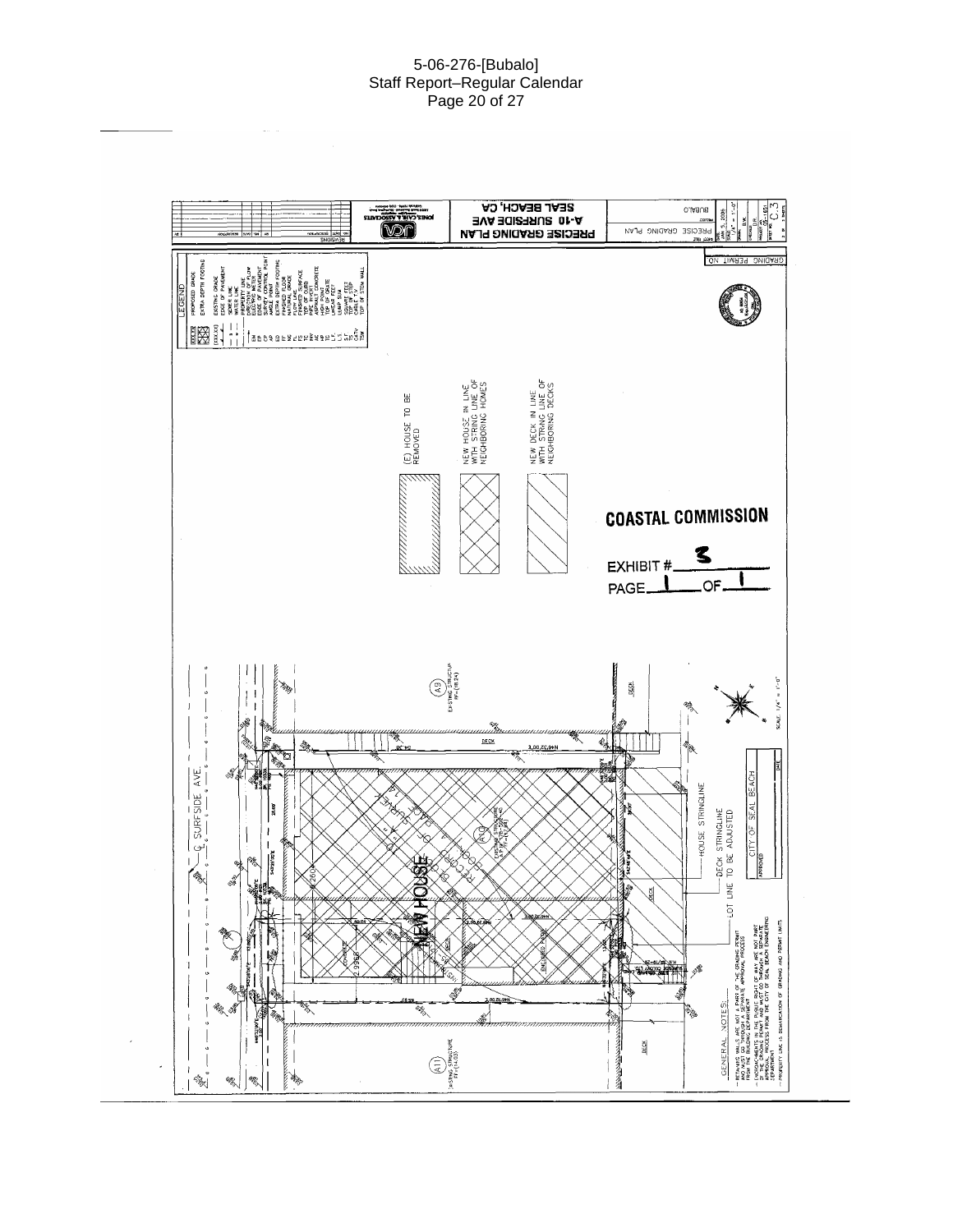#### 5-06-276-[Bubalo] Staff Report–Regular Calendar Page 20 of 27

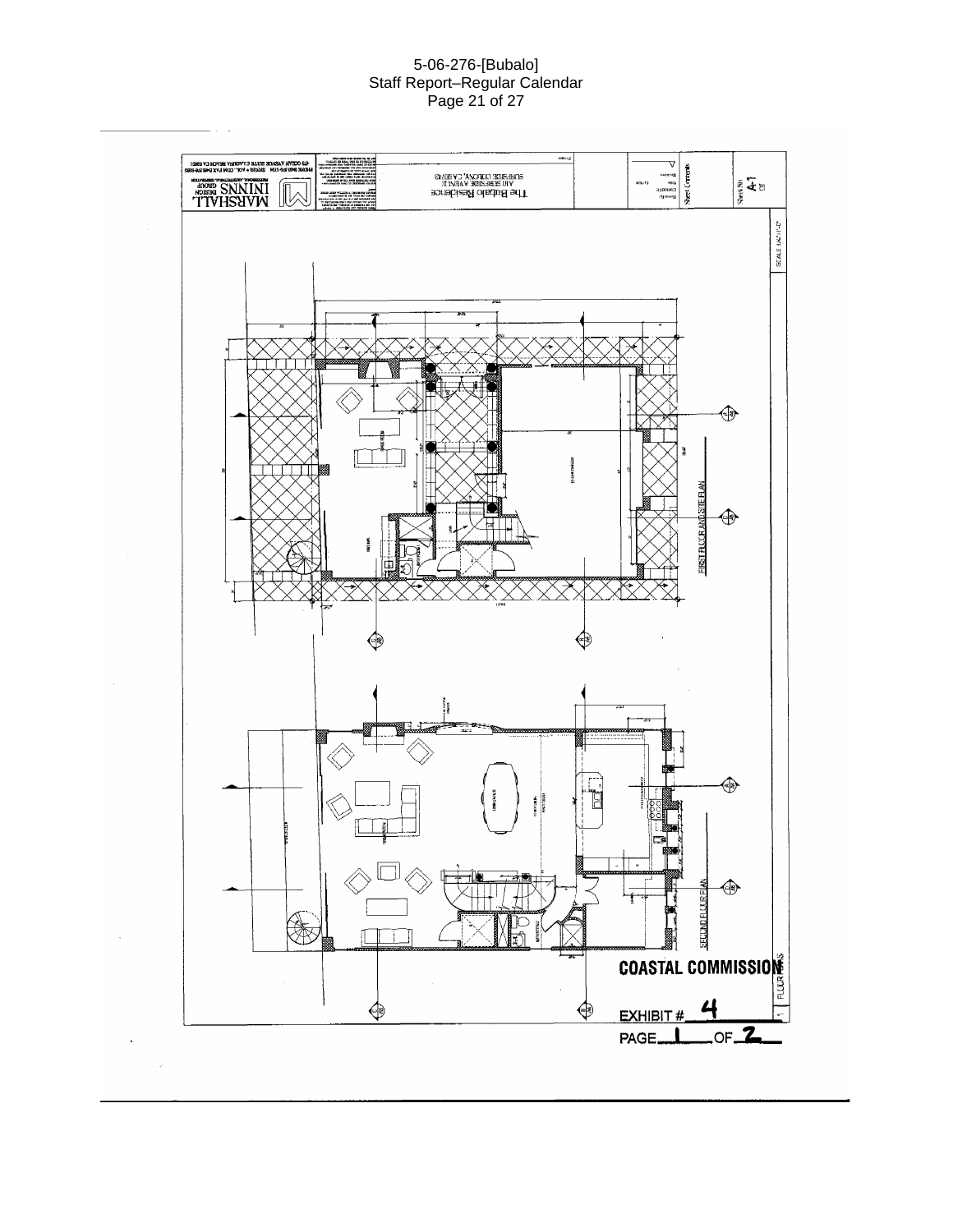#### 5-06-276-[Bubalo] Staff Report–Regular Calendar Page 21 of 27

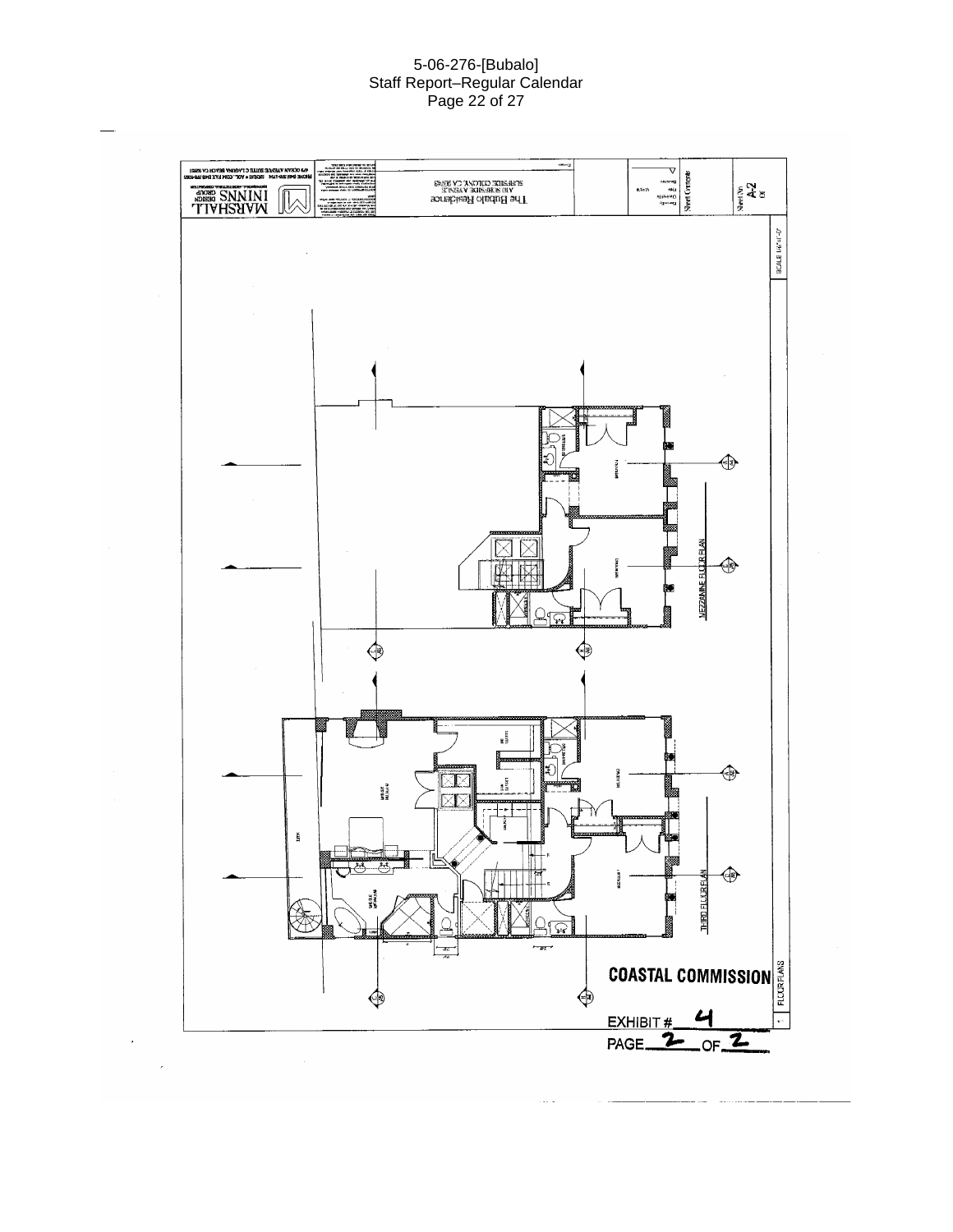#### 5-06-276-[Bubalo] Staff Report–Regular Calendar Page 22 of 27

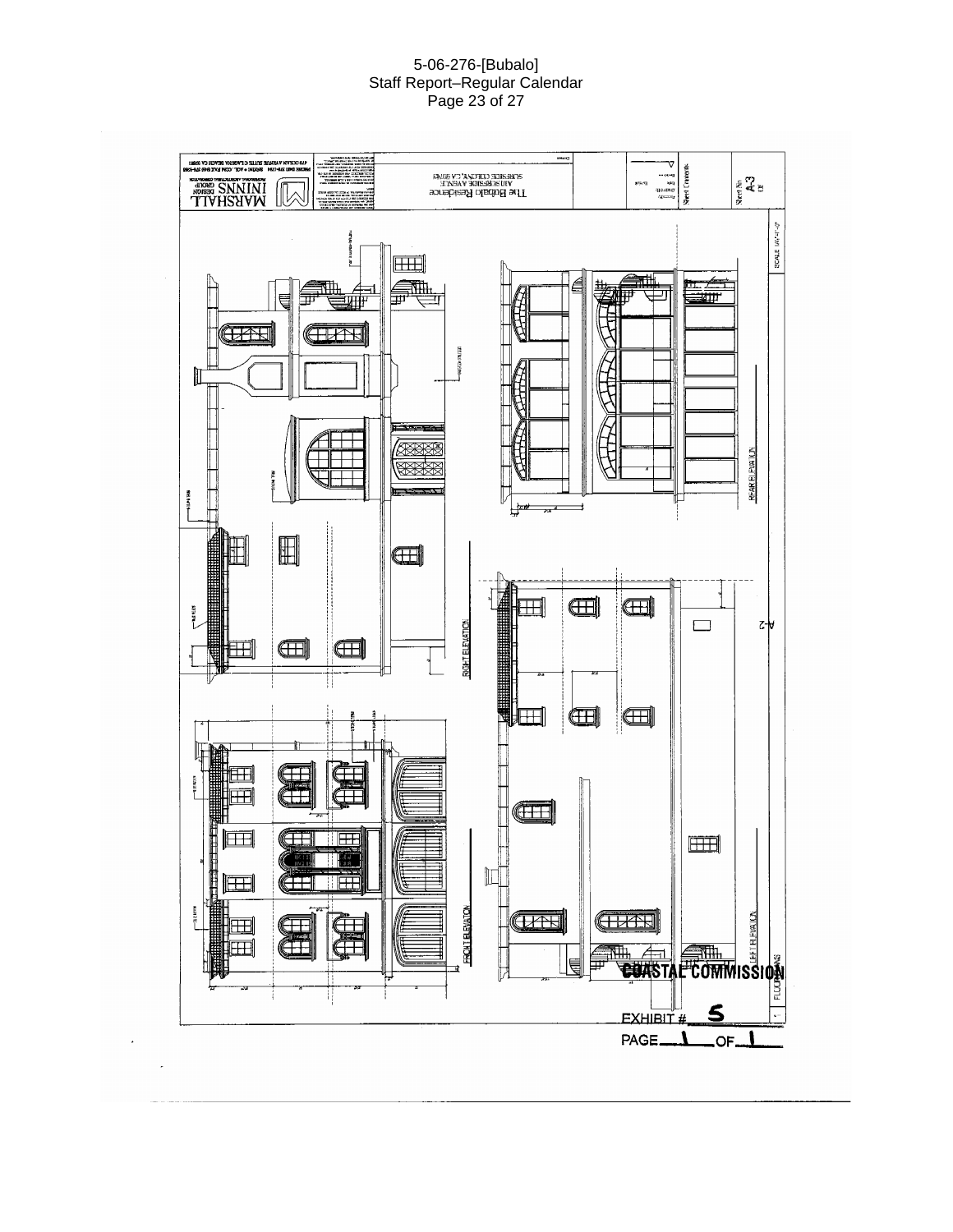#### 5-06-276-[Bubalo] Staff Report–Regular Calendar Page 23 of 27

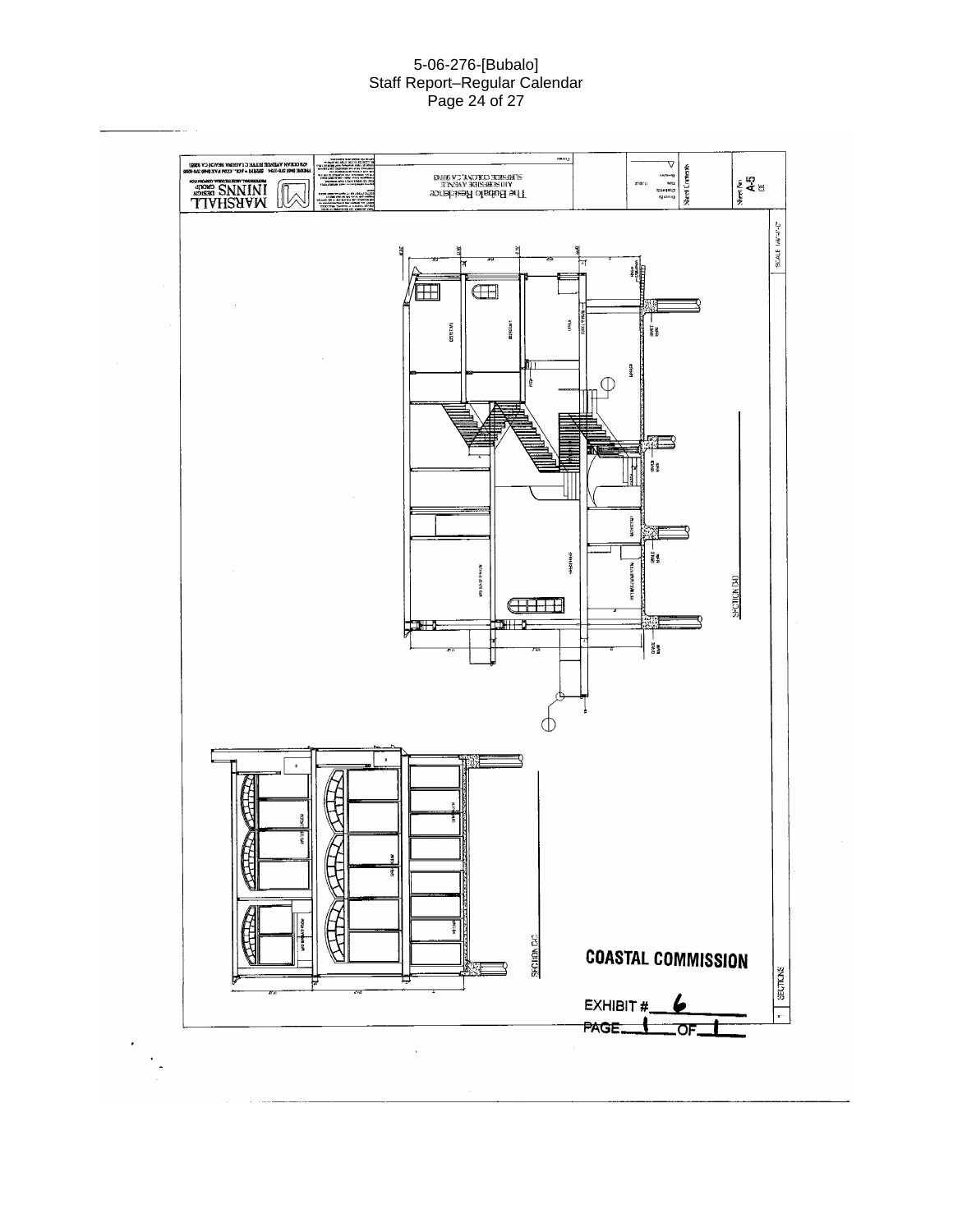#### 5-06-276-[Bubalo] Staff Report–Regular Calendar Page 24 of 27

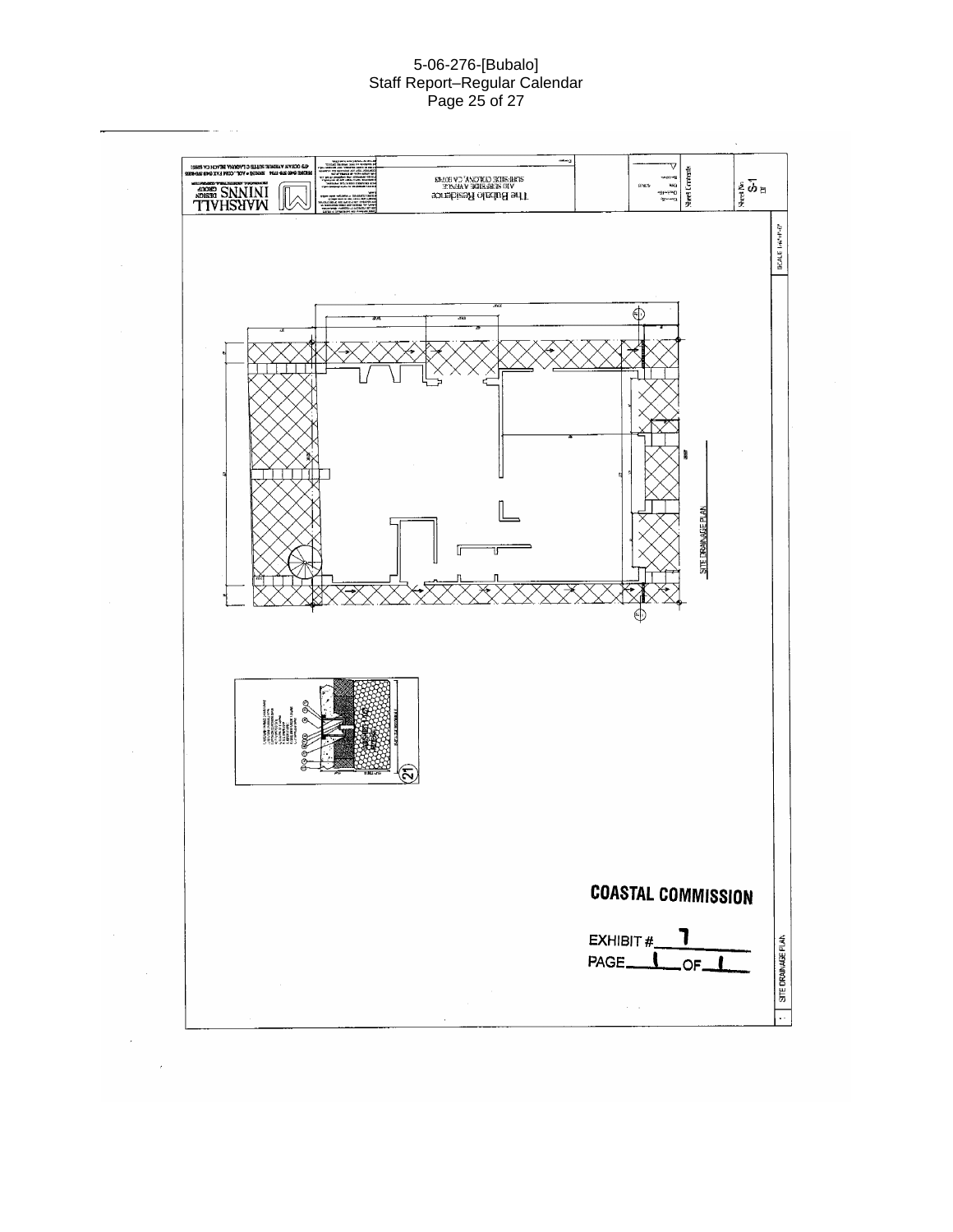#### 5-06-276-[Bubalo] Staff Report–Regular Calendar Page 25 of 27

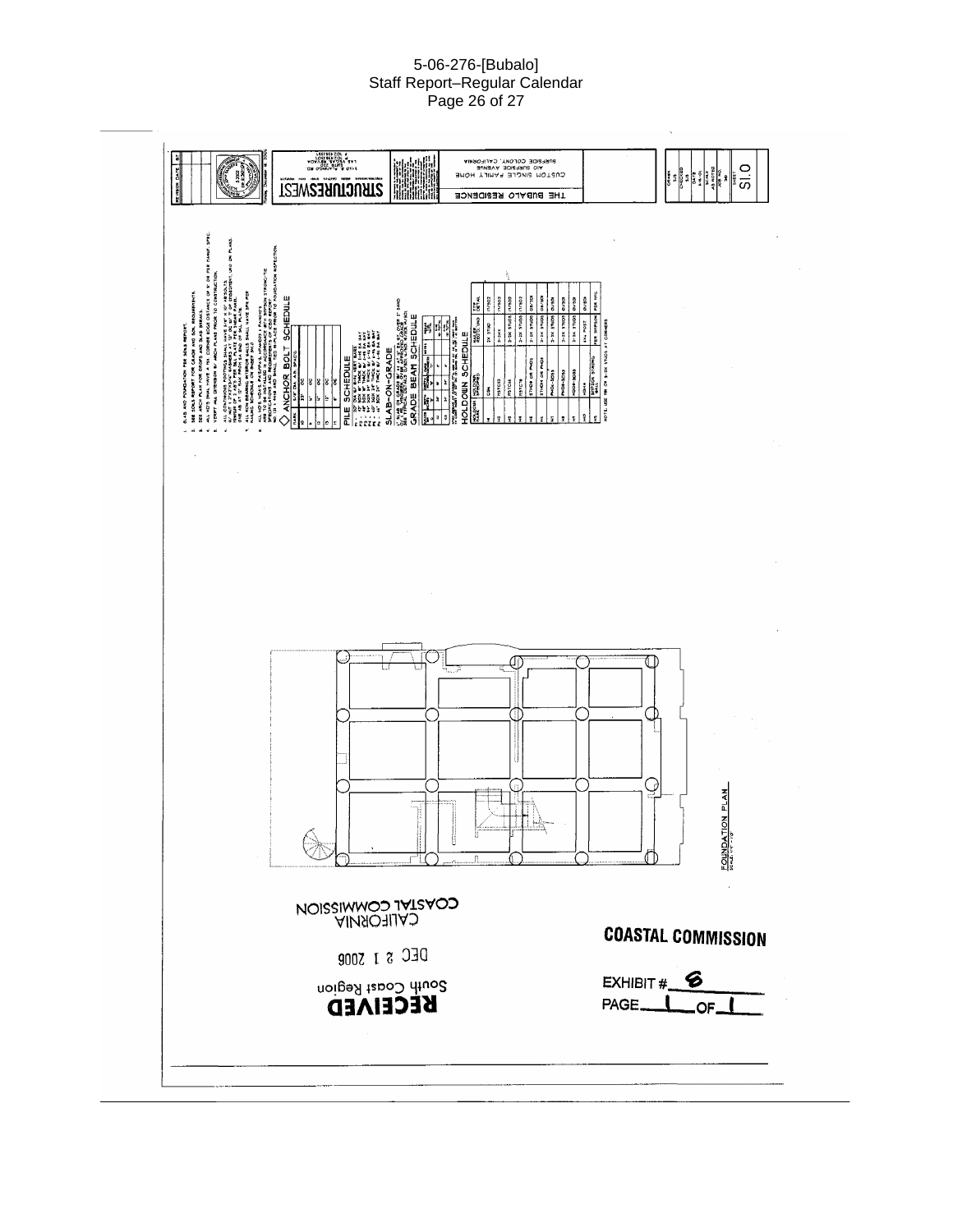#### 5-06-276-[Bubalo] Staff Report–Regular Calendar Page 26 of 27